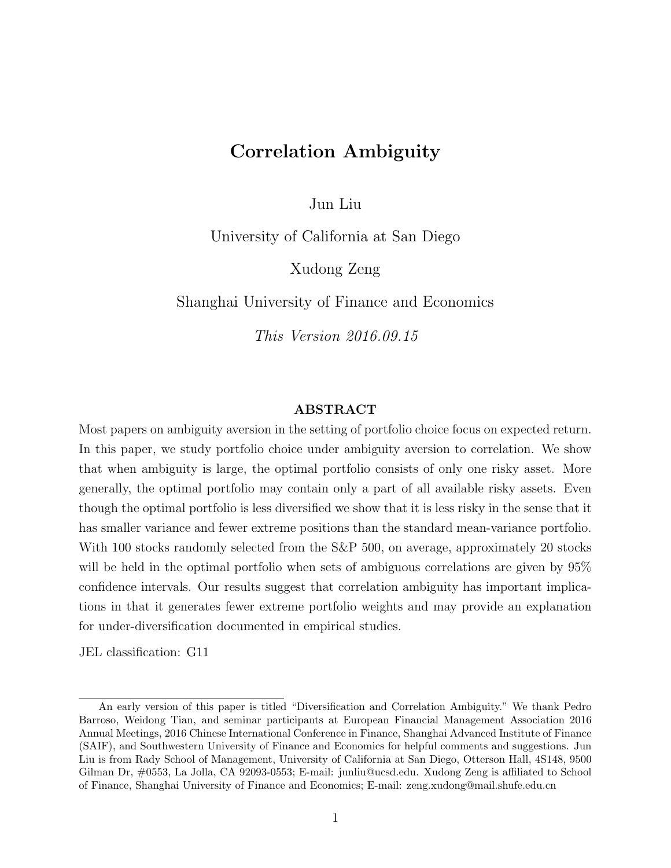# Correlation Ambiguity

Jun Liu

University of California at San Diego

Xudong Zeng

Shanghai University of Finance and Economics

This Version 2016.09.15

#### ABSTRACT

Most papers on ambiguity aversion in the setting of portfolio choice focus on expected return. In this paper, we study portfolio choice under ambiguity aversion to correlation. We show that when ambiguity is large, the optimal portfolio consists of only one risky asset. More generally, the optimal portfolio may contain only a part of all available risky assets. Even though the optimal portfolio is less diversified we show that it is less risky in the sense that it has smaller variance and fewer extreme positions than the standard mean-variance portfolio. With 100 stocks randomly selected from the S&P 500, on average, approximately 20 stocks will be held in the optimal portfolio when sets of ambiguous correlations are given by 95% confidence intervals. Our results suggest that correlation ambiguity has important implications in that it generates fewer extreme portfolio weights and may provide an explanation for under-diversification documented in empirical studies.

JEL classification: G11

An early version of this paper is titled "Diversification and Correlation Ambiguity." We thank Pedro Barroso, Weidong Tian, and seminar participants at European Financial Management Association 2016 Annual Meetings, 2016 Chinese International Conference in Finance, Shanghai Advanced Institute of Finance (SAIF), and Southwestern University of Finance and Economics for helpful comments and suggestions. Jun Liu is from Rady School of Management, University of California at San Diego, Otterson Hall, 4S148, 9500 Gilman Dr, #0553, La Jolla, CA 92093-0553; E-mail: junliu@ucsd.edu. Xudong Zeng is affiliated to School of Finance, Shanghai University of Finance and Economics; E-mail: zeng.xudong@mail.shufe.edu.cn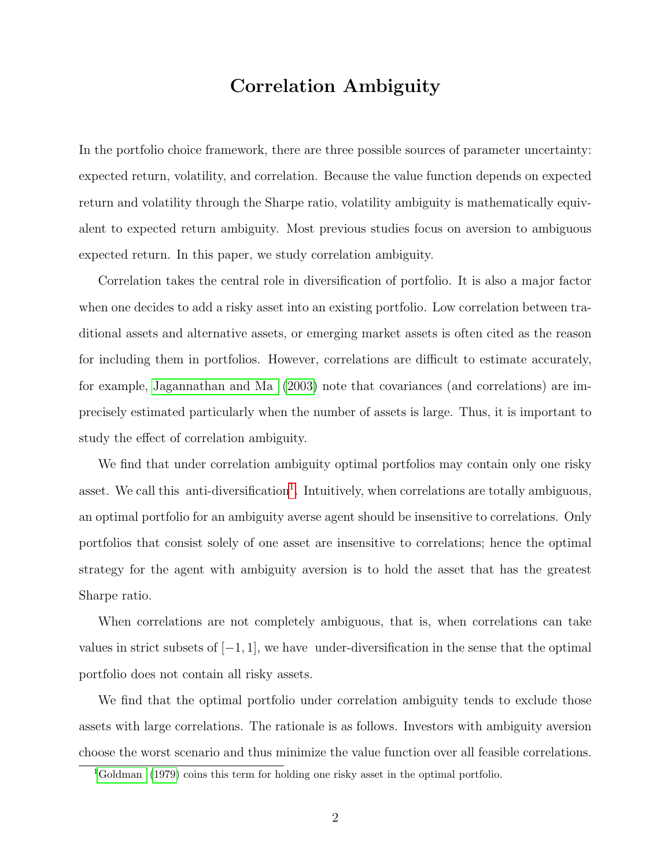# Correlation Ambiguity

In the portfolio choice framework, there are three possible sources of parameter uncertainty: expected return, volatility, and correlation. Because the value function depends on expected return and volatility through the Sharpe ratio, volatility ambiguity is mathematically equivalent to expected return ambiguity. Most previous studies focus on aversion to ambiguous expected return. In this paper, we study correlation ambiguity.

Correlation takes the central role in diversification of portfolio. It is also a major factor when one decides to add a risky asset into an existing portfolio. Low correlation between traditional assets and alternative assets, or emerging market assets is often cited as the reason for including them in portfolios. However, correlations are difficult to estimate accurately, for example, [Jagannathan and Ma](#page-35-0) [\(2003\)](#page-35-0) note that covariances (and correlations) are imprecisely estimated particularly when the number of assets is large. Thus, it is important to study the effect of correlation ambiguity.

We find that under correlation ambiguity optimal portfolios may contain only one risky asset. We call this anti-diversification<sup>[1](#page-1-0)</sup>. Intuitively, when correlations are totally ambiguous, an optimal portfolio for an ambiguity averse agent should be insensitive to correlations. Only portfolios that consist solely of one asset are insensitive to correlations; hence the optimal strategy for the agent with ambiguity aversion is to hold the asset that has the greatest Sharpe ratio.

When correlations are not completely ambiguous, that is, when correlations can take values in strict subsets of  $[-1, 1]$ , we have under-diversification in the sense that the optimal portfolio does not contain all risky assets.

We find that the optimal portfolio under correlation ambiguity tends to exclude those assets with large correlations. The rationale is as follows. Investors with ambiguity aversion choose the worst scenario and thus minimize the value function over all feasible correlations.

<span id="page-1-0"></span><sup>&</sup>lt;sup>1</sup>[Goldman](#page-35-1) [\(1979\)](#page-35-1) coins this term for holding one risky asset in the optimal portfolio.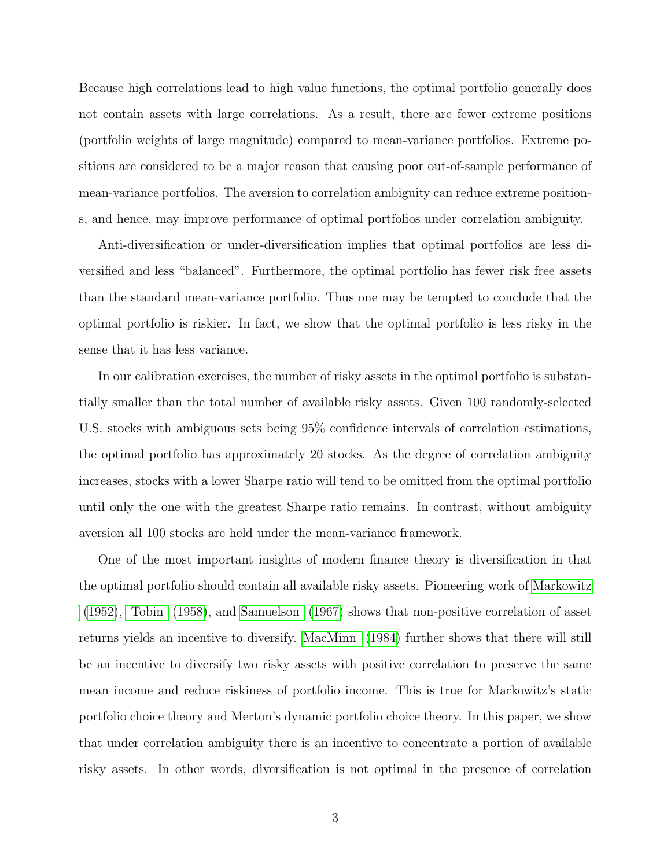Because high correlations lead to high value functions, the optimal portfolio generally does not contain assets with large correlations. As a result, there are fewer extreme positions (portfolio weights of large magnitude) compared to mean-variance portfolios. Extreme positions are considered to be a major reason that causing poor out-of-sample performance of mean-variance portfolios. The aversion to correlation ambiguity can reduce extreme positions, and hence, may improve performance of optimal portfolios under correlation ambiguity.

Anti-diversification or under-diversification implies that optimal portfolios are less diversified and less "balanced". Furthermore, the optimal portfolio has fewer risk free assets than the standard mean-variance portfolio. Thus one may be tempted to conclude that the optimal portfolio is riskier. In fact, we show that the optimal portfolio is less risky in the sense that it has less variance.

In our calibration exercises, the number of risky assets in the optimal portfolio is substantially smaller than the total number of available risky assets. Given 100 randomly-selected U.S. stocks with ambiguous sets being 95% confidence intervals of correlation estimations, the optimal portfolio has approximately 20 stocks. As the degree of correlation ambiguity increases, stocks with a lower Sharpe ratio will tend to be omitted from the optimal portfolio until only the one with the greatest Sharpe ratio remains. In contrast, without ambiguity aversion all 100 stocks are held under the mean-variance framework.

One of the most important insights of modern finance theory is diversification in that the optimal portfolio should contain all available risky assets. Pioneering work of [Markowitz](#page-36-0) [\(1952\)](#page-36-0), [Tobin](#page-36-1) [\(1958\)](#page-36-1), and [Samuelson](#page-36-2) [\(1967\)](#page-36-2) shows that non-positive correlation of asset returns yields an incentive to diversify. [MacMinn](#page-35-2) [\(1984\)](#page-35-2) further shows that there will still be an incentive to diversify two risky assets with positive correlation to preserve the same mean income and reduce riskiness of portfolio income. This is true for Markowitz's static portfolio choice theory and Merton's dynamic portfolio choice theory. In this paper, we show that under correlation ambiguity there is an incentive to concentrate a portion of available risky assets. In other words, diversification is not optimal in the presence of correlation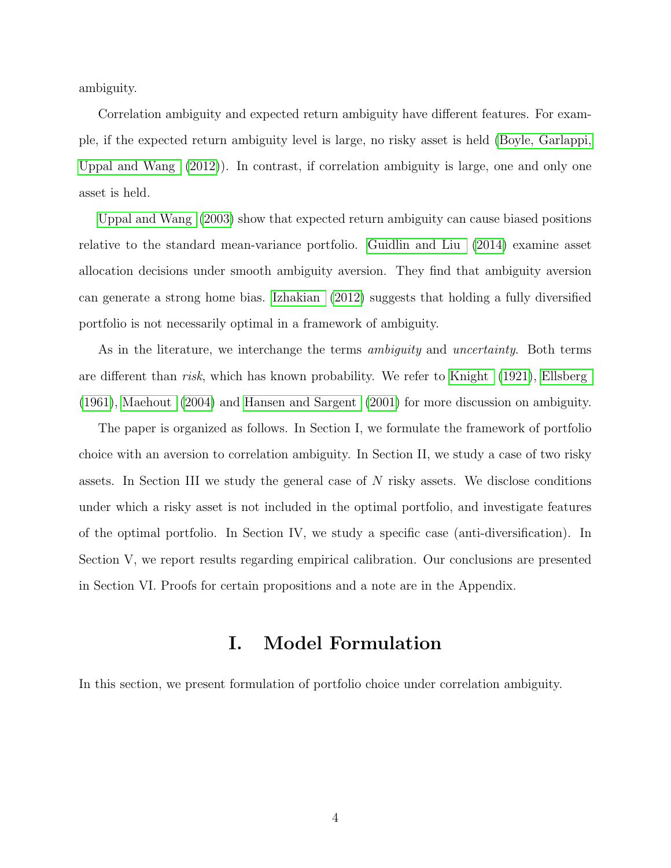ambiguity.

Correlation ambiguity and expected return ambiguity have different features. For example, if the expected return ambiguity level is large, no risky asset is held [\(Boyle, Garlappi,](#page-34-0) [Uppal and Wang](#page-34-0) [\(2012\)](#page-34-0)). In contrast, if correlation ambiguity is large, one and only one asset is held.

[Uppal and Wang](#page-36-3) [\(2003\)](#page-36-3) show that expected return ambiguity can cause biased positions relative to the standard mean-variance portfolio. [Guidlin and Liu](#page-35-3) [\(2014\)](#page-35-3) examine asset allocation decisions under smooth ambiguity aversion. They find that ambiguity aversion can generate a strong home bias. [Izhakian](#page-35-4) [\(2012\)](#page-35-4) suggests that holding a fully diversified portfolio is not necessarily optimal in a framework of ambiguity.

As in the literature, we interchange the terms *ambiguity* and *uncertainty*. Both terms are different than risk, which has known probability. We refer to [Knight](#page-35-5) [\(1921\)](#page-35-5), [Ellsberg](#page-34-1) [\(1961\)](#page-34-1), [Maehout](#page-36-4) [\(2004\)](#page-36-4) and [Hansen and Sargent](#page-35-6) [\(2001\)](#page-35-6) for more discussion on ambiguity.

The paper is organized as follows. In Section I, we formulate the framework of portfolio choice with an aversion to correlation ambiguity. In Section II, we study a case of two risky assets. In Section III we study the general case of  $N$  risky assets. We disclose conditions under which a risky asset is not included in the optimal portfolio, and investigate features of the optimal portfolio. In Section IV, we study a specific case (anti-diversification). In Section V, we report results regarding empirical calibration. Our conclusions are presented in Section VI. Proofs for certain propositions and a note are in the Appendix.

## I. Model Formulation

In this section, we present formulation of portfolio choice under correlation ambiguity.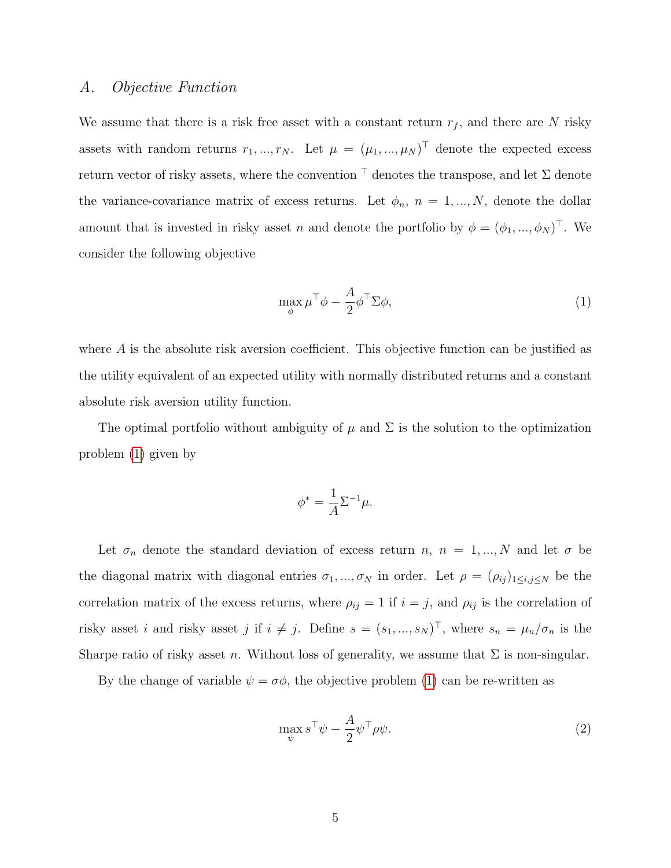#### A. Objective Function

We assume that there is a risk free asset with a constant return  $r_f$ , and there are N risky assets with random returns  $r_1, ..., r_N$ . Let  $\mu = (\mu_1, ..., \mu_N)^\top$  denote the expected excess return vector of risky assets, where the convention  $\top$  denotes the transpose, and let  $\Sigma$  denote the variance-covariance matrix of excess returns. Let  $\phi_n$ ,  $n = 1, ..., N$ , denote the dollar amount that is invested in risky asset n and denote the portfolio by  $\phi = (\phi_1, ..., \phi_N)^\top$ . We consider the following objective

<span id="page-4-0"></span>
$$
\max_{\phi} \mu^{\top} \phi - \frac{A}{2} \phi^{\top} \Sigma \phi,
$$
\n(1)

where A is the absolute risk aversion coefficient. This objective function can be justified as the utility equivalent of an expected utility with normally distributed returns and a constant absolute risk aversion utility function.

The optimal portfolio without ambiguity of  $\mu$  and  $\Sigma$  is the solution to the optimization problem [\(1\)](#page-4-0) given by

$$
\phi^* = \frac{1}{A} \Sigma^{-1} \mu.
$$

Let  $\sigma_n$  denote the standard deviation of excess return n,  $n = 1, ..., N$  and let  $\sigma$  be the diagonal matrix with diagonal entries  $\sigma_1, ..., \sigma_N$  in order. Let  $\rho = (\rho_{ij})_{1 \le i,j \le N}$  be the correlation matrix of the excess returns, where  $\rho_{ij} = 1$  if  $i = j$ , and  $\rho_{ij}$  is the correlation of risky asset i and risky asset j if  $i \neq j$ . Define  $s = (s_1, ..., s_N)^\top$ , where  $s_n = \mu_n/\sigma_n$  is the Sharpe ratio of risky asset n. Without loss of generality, we assume that  $\Sigma$  is non-singular.

By the change of variable  $\psi = \sigma \phi$ , the objective problem [\(1\)](#page-4-0) can be re-written as

<span id="page-4-1"></span>
$$
\max_{\psi} s^{\top} \psi - \frac{A}{2} \psi^{\top} \rho \psi.
$$
 (2)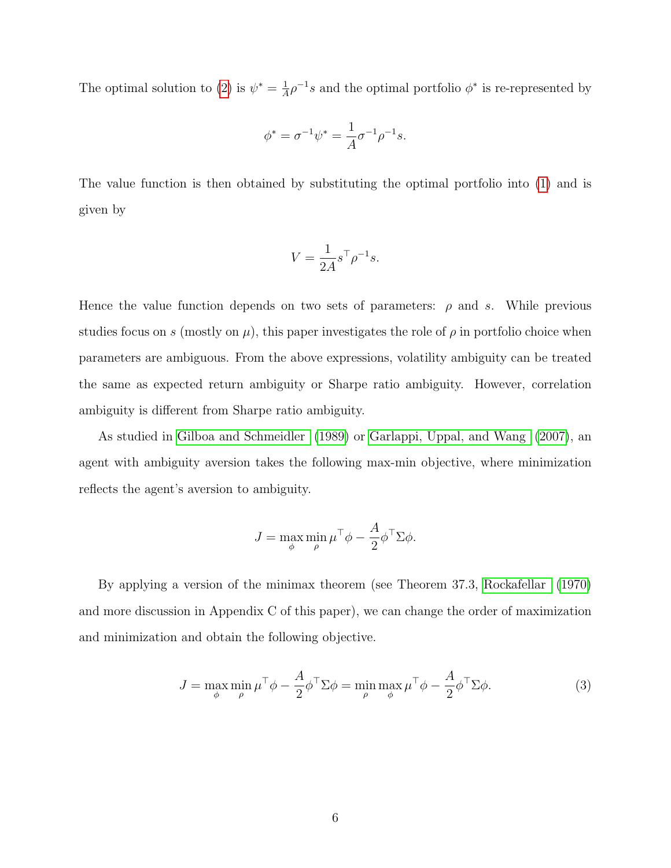The optimal solution to [\(2\)](#page-4-1) is  $\psi^* = \frac{1}{4}$  $\frac{1}{4}\rho^{-1}s$  and the optimal portfolio  $\phi^*$  is re-represented by

$$
\phi^* = \sigma^{-1} \psi^* = \frac{1}{A} \sigma^{-1} \rho^{-1} s.
$$

The value function is then obtained by substituting the optimal portfolio into [\(1\)](#page-4-0) and is given by

$$
V = \frac{1}{2A} s^\top \rho^{-1} s.
$$

Hence the value function depends on two sets of parameters:  $\rho$  and s. While previous studies focus on s (mostly on  $\mu$ ), this paper investigates the role of  $\rho$  in portfolio choice when parameters are ambiguous. From the above expressions, volatility ambiguity can be treated the same as expected return ambiguity or Sharpe ratio ambiguity. However, correlation ambiguity is different from Sharpe ratio ambiguity.

As studied in [Gilboa and Schmeidler](#page-34-2) [\(1989\)](#page-34-2) or [Garlappi, Uppal, and Wang](#page-34-3) [\(2007\)](#page-34-3), an agent with ambiguity aversion takes the following max-min objective, where minimization reflects the agent's aversion to ambiguity.

<span id="page-5-0"></span>
$$
J = \max_{\phi} \min_{\rho} \mu^{\top} \phi - \frac{A}{2} \phi^{\top} \Sigma \phi.
$$

By applying a version of the minimax theorem (see Theorem 37.3, [Rockafellar](#page-36-5) [\(1970\)](#page-36-5) and more discussion in Appendix C of this paper), we can change the order of maximization and minimization and obtain the following objective.

$$
J = \max_{\phi} \min_{\rho} \mu^{\top} \phi - \frac{A}{2} \phi^{\top} \Sigma \phi = \min_{\rho} \max_{\phi} \mu^{\top} \phi - \frac{A}{2} \phi^{\top} \Sigma \phi.
$$
 (3)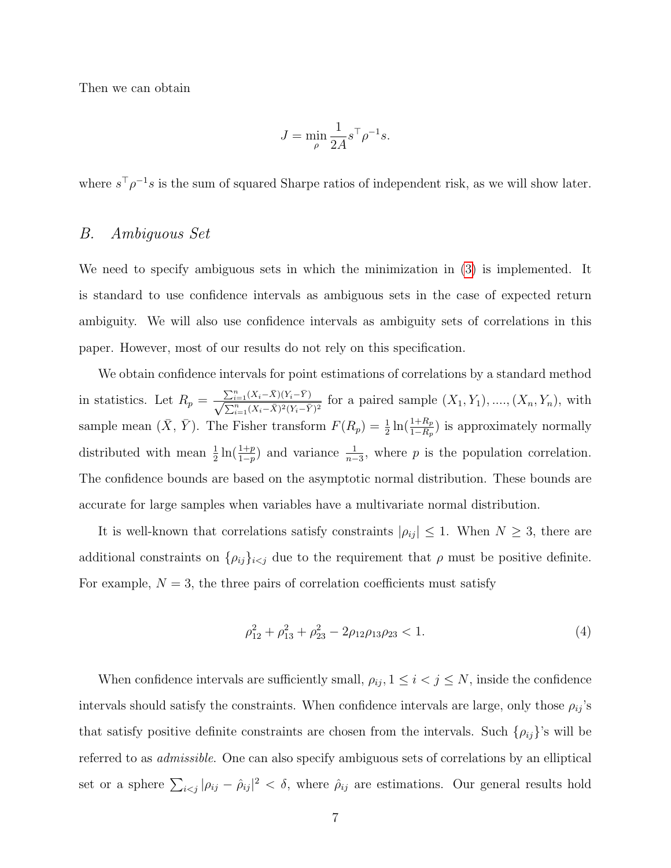Then we can obtain

$$
J = \min_{\rho} \frac{1}{2A} s^{\top} \rho^{-1} s.
$$

where  $s^{\top} \rho^{-1} s$  is the sum of squared Sharpe ratios of independent risk, as we will show later.

#### B. Ambiguous Set

We need to specify ambiguous sets in which the minimization in [\(3\)](#page-5-0) is implemented. It is standard to use confidence intervals as ambiguous sets in the case of expected return ambiguity. We will also use confidence intervals as ambiguity sets of correlations in this paper. However, most of our results do not rely on this specification.

We obtain confidence intervals for point estimations of correlations by a standard method in statistics. Let  $R_p = \frac{\sum_{i=1}^n (X_i - \bar{X})(Y_i - \bar{Y})}{\sqrt{\sum_{i=1}^n (Y_i - \bar{X})^2} (Y_i - \bar{Y})^2}$  $\frac{\sum_{i=1}(X_i-X)(Y_i-Y)}{\sum_{i=1}^n (X_i-\bar{X})^2(Y_i-\bar{Y})^2}$  for a paired sample  $(X_1, Y_1), ..., (X_n, Y_n)$ , with sample mean  $(\bar{X}, \bar{Y})$ . The Fisher transform  $F(R_p) = \frac{1}{2} \ln(\frac{1+R_p}{1-R_p})$  is approximately normally distributed with mean  $\frac{1}{2} \ln(\frac{1+p}{1-p})$  and variance  $\frac{1}{n-3}$ , where p is the population correlation. The confidence bounds are based on the asymptotic normal distribution. These bounds are accurate for large samples when variables have a multivariate normal distribution.

It is well-known that correlations satisfy constraints  $|\rho_{ij}| \leq 1$ . When  $N \geq 3$ , there are additional constraints on  $\{\rho_{ij}\}_{i\leq j}$  due to the requirement that  $\rho$  must be positive definite. For example,  $N = 3$ , the three pairs of correlation coefficients must satisfy

<span id="page-6-0"></span>
$$
\rho_{12}^2 + \rho_{13}^2 + \rho_{23}^2 - 2\rho_{12}\rho_{13}\rho_{23} < 1. \tag{4}
$$

When confidence intervals are sufficiently small,  $\rho_{ij}$ ,  $1 \leq i < j \leq N$ , inside the confidence intervals should satisfy the constraints. When confidence intervals are large, only those  $\rho_{ij}$ 's that satisfy positive definite constraints are chosen from the intervals. Such  $\{\rho_{ij}\}'$ 's will be referred to as admissible. One can also specify ambiguous sets of correlations by an elliptical set or a sphere  $\sum_{i \le j} |\rho_{ij} - \hat{\rho}_{ij}|^2 < \delta$ , where  $\hat{\rho}_{ij}$  are estimations. Our general results hold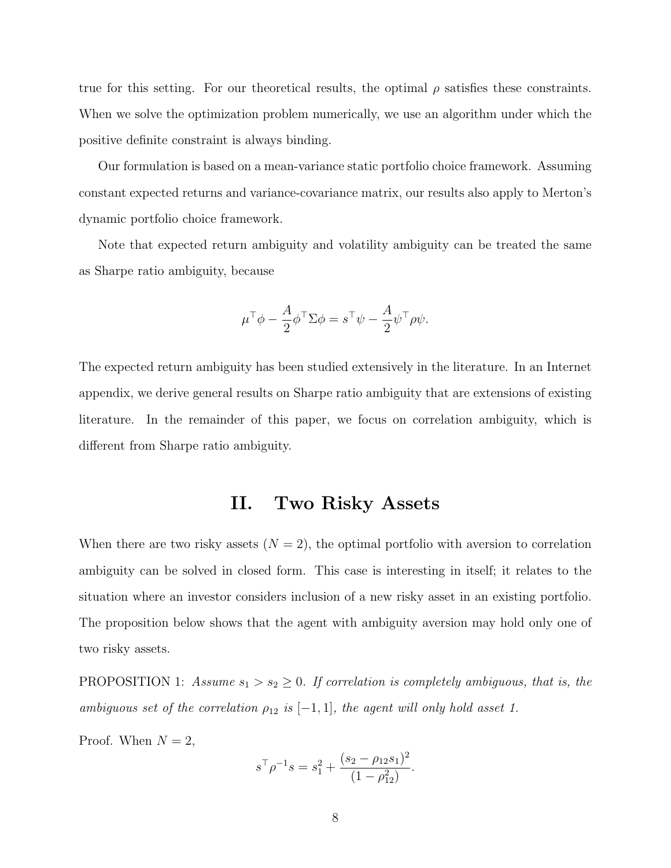true for this setting. For our theoretical results, the optimal  $\rho$  satisfies these constraints. When we solve the optimization problem numerically, we use an algorithm under which the positive definite constraint is always binding.

Our formulation is based on a mean-variance static portfolio choice framework. Assuming constant expected returns and variance-covariance matrix, our results also apply to Merton's dynamic portfolio choice framework.

Note that expected return ambiguity and volatility ambiguity can be treated the same as Sharpe ratio ambiguity, because

$$
\mu^{\top} \phi - \frac{A}{2} \phi^{\top} \Sigma \phi = s^{\top} \psi - \frac{A}{2} \psi^{\top} \rho \psi.
$$

The expected return ambiguity has been studied extensively in the literature. In an Internet appendix, we derive general results on Sharpe ratio ambiguity that are extensions of existing literature. In the remainder of this paper, we focus on correlation ambiguity, which is different from Sharpe ratio ambiguity.

## II. Two Risky Assets

When there are two risky assets  $(N = 2)$ , the optimal portfolio with aversion to correlation ambiguity can be solved in closed form. This case is interesting in itself; it relates to the situation where an investor considers inclusion of a new risky asset in an existing portfolio. The proposition below shows that the agent with ambiguity aversion may hold only one of two risky assets.

<span id="page-7-0"></span>PROPOSITION 1: Assume  $s_1 > s_2 \geq 0$ . If correlation is completely ambiguous, that is, the ambiguous set of the correlation  $\rho_{12}$  is  $[-1, 1]$ , the agent will only hold asset 1.

Proof. When  $N = 2$ ,

$$
s^{\top} \rho^{-1} s = s_1^2 + \frac{(s_2 - \rho_{12} s_1)^2}{(1 - \rho_{12}^2)}.
$$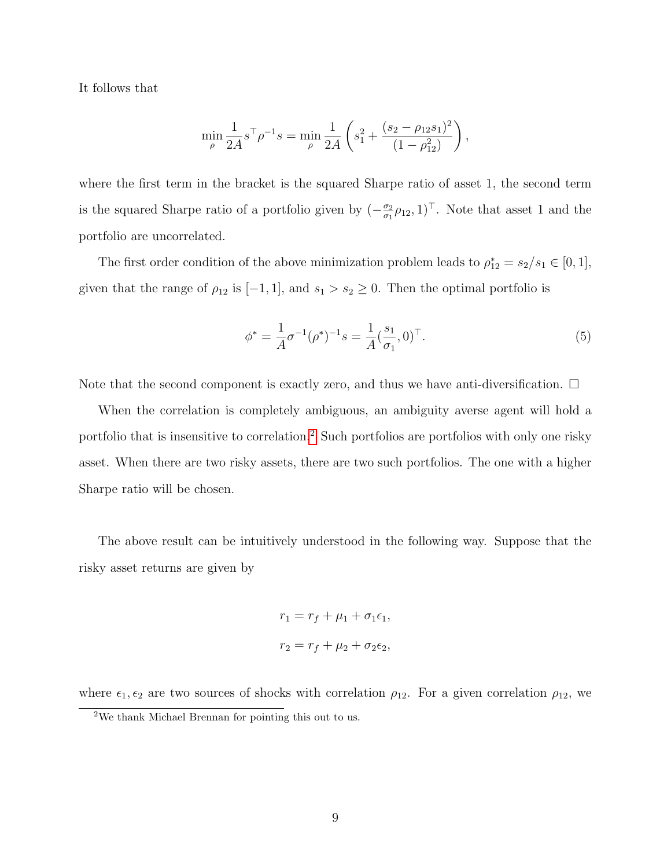It follows that

$$
\min_{\rho} \frac{1}{2A} s^{\top} \rho^{-1} s = \min_{\rho} \frac{1}{2A} \left( s_1^2 + \frac{(s_2 - \rho_{12} s_1)^2}{(1 - \rho_{12}^2)} \right),
$$

where the first term in the bracket is the squared Sharpe ratio of asset 1, the second term is the squared Sharpe ratio of a portfolio given by  $(-\frac{\sigma_2}{\sigma_1})$  $\frac{\sigma_2}{\sigma_1}\rho_{12}, 1)$ <sup>T</sup>. Note that asset 1 and the portfolio are uncorrelated.

The first order condition of the above minimization problem leads to  $\rho_{12}^* = s_2/s_1 \in [0,1],$ given that the range of  $\rho_{12}$  is  $[-1, 1]$ , and  $s_1 > s_2 \geq 0$ . Then the optimal portfolio is

$$
\phi^* = \frac{1}{A}\sigma^{-1}(\rho^*)^{-1}s = \frac{1}{A}(\frac{s_1}{\sigma_1}, 0)^\top.
$$
\n(5)

Note that the second component is exactly zero, and thus we have anti-diversification.  $\Box$ 

When the correlation is completely ambiguous, an ambiguity averse agent will hold a portfolio that is insensitive to correlation.[2](#page-8-0) Such portfolios are portfolios with only one risky asset. When there are two risky assets, there are two such portfolios. The one with a higher Sharpe ratio will be chosen.

The above result can be intuitively understood in the following way. Suppose that the risky asset returns are given by

$$
r_1 = r_f + \mu_1 + \sigma_1 \epsilon_1,
$$
  

$$
r_2 = r_f + \mu_2 + \sigma_2 \epsilon_2,
$$

<span id="page-8-0"></span>where  $\epsilon_1, \epsilon_2$  are two sources of shocks with correlation  $\rho_{12}$ . For a given correlation  $\rho_{12}$ , we <sup>2</sup>We thank Michael Brennan for pointing this out to us.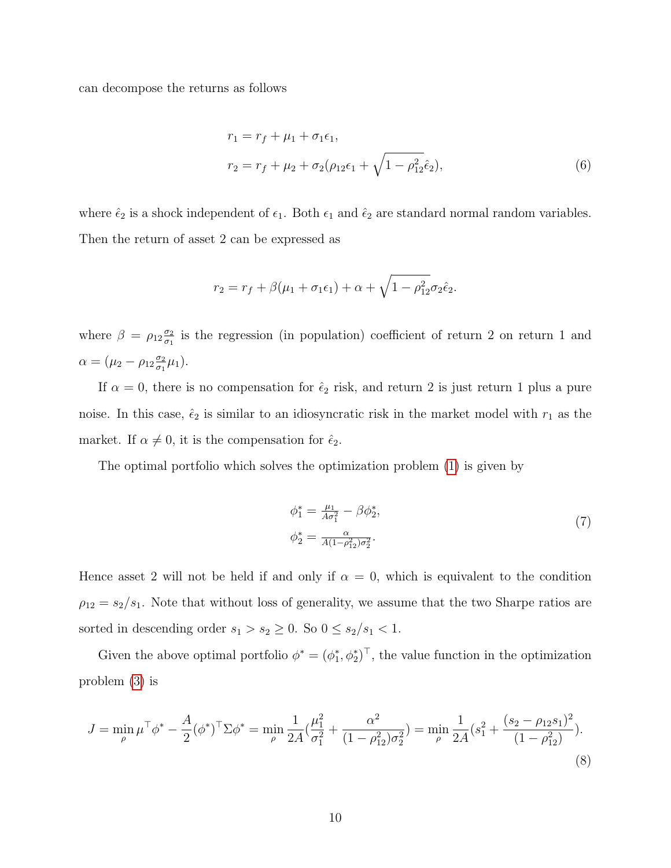can decompose the returns as follows

$$
r_1 = r_f + \mu_1 + \sigma_1 \epsilon_1,
$$
  
\n
$$
r_2 = r_f + \mu_2 + \sigma_2 (\rho_{12} \epsilon_1 + \sqrt{1 - \rho_{12}^2} \hat{\epsilon}_2),
$$
\n(6)

where  $\hat{\epsilon}_2$  is a shock independent of  $\epsilon_1$ . Both  $\epsilon_1$  and  $\hat{\epsilon}_2$  are standard normal random variables. Then the return of asset 2 can be expressed as

$$
r_2 = r_f + \beta(\mu_1 + \sigma_1 \epsilon_1) + \alpha + \sqrt{1 - \rho_{12}^2} \sigma_2 \hat{\epsilon}_2.
$$

where  $\beta = \rho_{12} \frac{\sigma_2}{\sigma_1}$  $\frac{\sigma_2}{\sigma_1}$  is the regression (in population) coefficient of return 2 on return 1 and  $\alpha = (\mu_2 - \rho_{12} \frac{\sigma_2}{\sigma_1})$  $\frac{\sigma_2}{\sigma_1}\mu_1$ ).

If  $\alpha = 0$ , there is no compensation for  $\hat{\epsilon}_2$  risk, and return 2 is just return 1 plus a pure noise. In this case,  $\hat{\epsilon}_2$  is similar to an idiosyncratic risk in the market model with  $r_1$  as the market. If  $\alpha \neq 0$ , it is the compensation for  $\hat{\epsilon}_2$ .

The optimal portfolio which solves the optimization problem [\(1\)](#page-4-0) is given by

<span id="page-9-1"></span><span id="page-9-0"></span>
$$
\phi_1^* = \frac{\mu_1}{A\sigma_1^2} - \beta \phi_2^*,
$$
  
\n
$$
\phi_2^* = \frac{\alpha}{A(1 - \rho_{12}^2)\sigma_2^2}.
$$
\n(7)

Hence asset 2 will not be held if and only if  $\alpha = 0$ , which is equivalent to the condition  $\rho_{12} = s_2/s_1$ . Note that without loss of generality, we assume that the two Sharpe ratios are sorted in descending order  $s_1 > s_2 \geq 0$ . So  $0 \leq s_2/s_1 < 1$ .

Given the above optimal portfolio  $\phi^* = (\phi_1^*, \phi_2^*)^\top$ , the value function in the optimization problem [\(3\)](#page-5-0) is

$$
J = \min_{\rho} \mu^{\top} \phi^* - \frac{A}{2} (\phi^*)^{\top} \Sigma \phi^* = \min_{\rho} \frac{1}{2A} (\frac{\mu_1^2}{\sigma_1^2} + \frac{\alpha^2}{(1 - \rho_{12}^2)\sigma_2^2}) = \min_{\rho} \frac{1}{2A} (s_1^2 + \frac{(s_2 - \rho_{12}s_1)^2}{(1 - \rho_{12}^2)}).
$$
\n(8)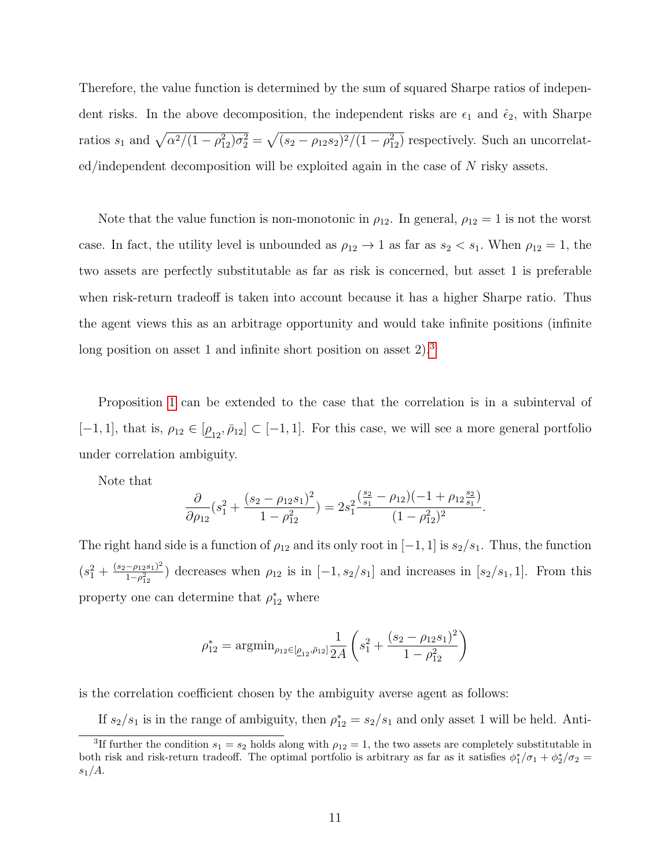Therefore, the value function is determined by the sum of squared Sharpe ratios of independent risks. In the above decomposition, the independent risks are  $\epsilon_1$  and  $\hat{\epsilon}_2$ , with Sharpe ratios  $s_1$  and  $\sqrt{\alpha^2/(1-\rho_{12}^2)\sigma_2^2} = \sqrt{(s_2-\rho_{12}s_2)^2/(1-\rho_{12}^2)}$  respectively. Such an uncorrelated/independent decomposition will be exploited again in the case of N risky assets.

Note that the value function is non-monotonic in  $\rho_{12}$ . In general,  $\rho_{12} = 1$  is not the worst case. In fact, the utility level is unbounded as  $\rho_{12} \rightarrow 1$  as far as  $s_2 < s_1$ . When  $\rho_{12} = 1$ , the two assets are perfectly substitutable as far as risk is concerned, but asset 1 is preferable when risk-return tradeoff is taken into account because it has a higher Sharpe ratio. Thus the agent views this as an arbitrage opportunity and would take infinite positions (infinite long position on asset 1 and infinite short position on asset  $2$ ).<sup>[3](#page-10-0)</sup>

Proposition [1](#page-7-0) can be extended to the case that the correlation is in a subinterval of  $[-1, 1]$ , that is,  $\rho_{12} \in [\underline{\rho}_{12}, \overline{\rho}_{12}] \subset [-1, 1]$ . For this case, we will see a more general portfolio under correlation ambiguity.

Note that

$$
\frac{\partial}{\partial \rho_{12}}(s_1^2+\frac{(s_2-\rho_{12}s_1)^2}{1-\rho_{12}^2})=2s_1^2\frac{(\frac{s_2}{s_1}-\rho_{12})(-1+\rho_{12}\frac{s_2}{s_1})}{(1-\rho_{12}^2)^2}.
$$

The right hand side is a function of  $\rho_{12}$  and its only root in [−1, 1] is  $s_2/s_1$ . Thus, the function  $(s_1^2+\frac{(s_2-\rho_{12}s_1)^2}{1-\rho_{12}^2})$  $\frac{-\rho_{12}s_1)^2}{1-\rho_{12}^2}$ ) decreases when  $\rho_{12}$  is in  $[-1, s_2/s_1]$  and increases in  $[s_2/s_1, 1]$ . From this property one can determine that  $\rho_{12}^*$  where

$$
\rho_{12}^* = \operatorname{argmin}_{\rho_{12} \in [\underline{\rho}_{12}, \bar{\rho}_{12}]} \frac{1}{2A} \left( s_1^2 + \frac{(s_2 - \rho_{12}s_1)^2}{1 - \rho_{12}^2} \right)
$$

is the correlation coefficient chosen by the ambiguity averse agent as follows:

If  $s_2/s_1$  is in the range of ambiguity, then  $\rho_{12}^* = s_2/s_1$  and only asset 1 will be held. Anti-

<span id="page-10-0"></span><sup>&</sup>lt;sup>3</sup>If further the condition  $s_1 = s_2$  holds along with  $\rho_{12} = 1$ , the two assets are completely substitutable in both risk and risk-return tradeoff. The optimal portfolio is arbitrary as far as it satisfies  $\phi_1^*/\sigma_1 + \phi_2^*/\sigma_2 =$  $s_1/A$ .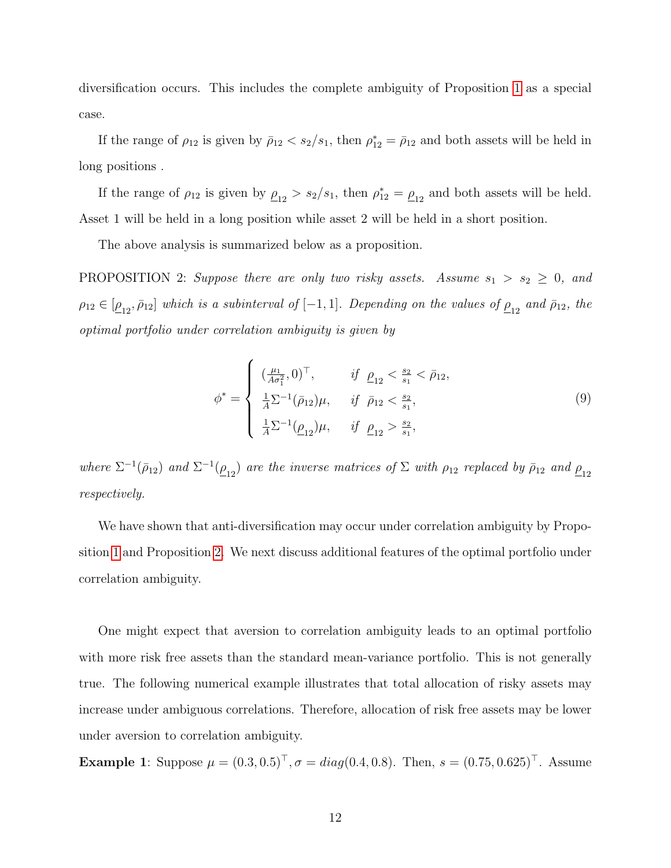diversification occurs. This includes the complete ambiguity of Proposition [1](#page-7-0) as a special case.

If the range of  $\rho_{12}$  is given by  $\bar{\rho}_{12} < s_2/s_1$ , then  $\rho_{12}^* = \bar{\rho}_{12}$  and both assets will be held in long positions .

If the range of  $\rho_{12}$  is given by  $\rho_{12} > s_2/s_1$ , then  $\rho_{12}^* = \rho_{12}$  and both assets will be held. Asset 1 will be held in a long position while asset 2 will be held in a short position.

The above analysis is summarized below as a proposition.

<span id="page-11-0"></span>PROPOSITION 2: Suppose there are only two risky assets. Assume  $s_1 > s_2 \geq 0$ , and  $\rho_{12} \in [\underline{\rho}_{12}, \bar{\rho}_{12}]$  which is a subinterval of  $[-1, 1]$ . Depending on the values of  $\underline{\rho}_{12}$  and  $\bar{\rho}_{12}$ , the optimal portfolio under correlation ambiguity is given by

$$
\phi^* = \begin{cases}\n(\frac{\mu_1}{A\sigma_1^2}, 0)^\top, & \text{if } \underline{\rho}_{12} < \frac{s_2}{s_1} < \bar{\rho}_{12}, \\
\frac{1}{A} \Sigma^{-1} (\bar{\rho}_{12}) \mu, & \text{if } \bar{\rho}_{12} < \frac{s_2}{s_1}, \\
\frac{1}{A} \Sigma^{-1} (\underline{\rho}_{12}) \mu, & \text{if } \underline{\rho}_{12} > \frac{s_2}{s_1},\n\end{cases}
$$
\n(9)

where  $\Sigma^{-1}(\bar{\rho}_{12})$  and  $\Sigma^{-1}(\underline{\rho}_{12})$  are the inverse matrices of  $\Sigma$  with  $\rho_{12}$  replaced by  $\bar{\rho}_{12}$  and  $\underline{\rho}_{12}$ respectively.

We have shown that anti-diversification may occur under correlation ambiguity by Proposition [1](#page-7-0) and Proposition [2.](#page-11-0) We next discuss additional features of the optimal portfolio under correlation ambiguity.

One might expect that aversion to correlation ambiguity leads to an optimal portfolio with more risk free assets than the standard mean-variance portfolio. This is not generally true. The following numerical example illustrates that total allocation of risky assets may increase under ambiguous correlations. Therefore, allocation of risk free assets may be lower under aversion to correlation ambiguity.

Example 1: Suppose  $\mu = (0.3, 0.5)^{\top}, \sigma = diag(0.4, 0.8)$ . Then,  $s = (0.75, 0.625)^{\top}$ . Assume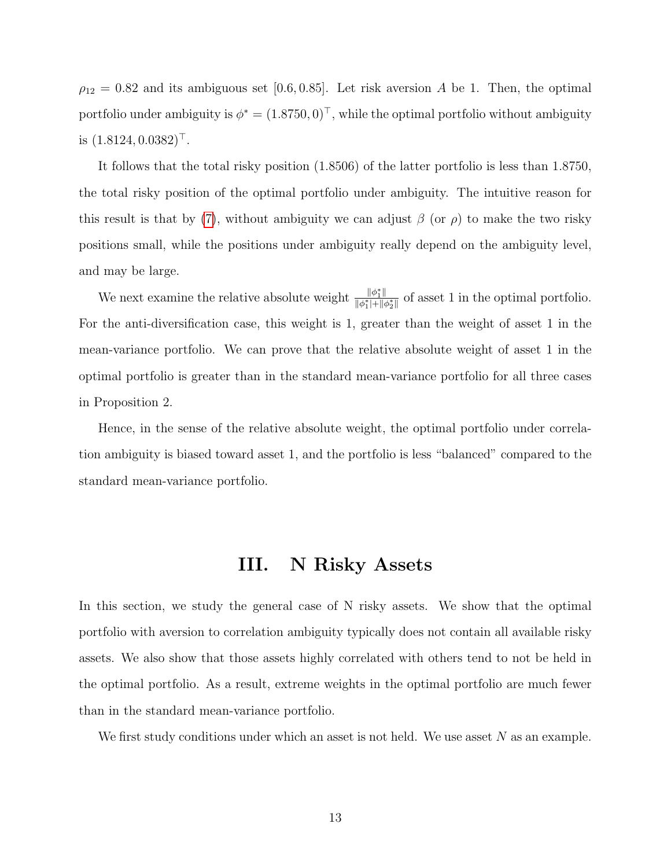$\rho_{12} = 0.82$  and its ambiguous set [0.6, 0.85]. Let risk aversion A be 1. Then, the optimal portfolio under ambiguity is  $\phi^* = (1.8750, 0)^\top$ , while the optimal portfolio without ambiguity is  $(1.8124, 0.0382)$ <sup>T</sup>.

It follows that the total risky position (1.8506) of the latter portfolio is less than 1.8750, the total risky position of the optimal portfolio under ambiguity. The intuitive reason for this result is that by [\(7\)](#page-9-0), without ambiguity we can adjust  $\beta$  (or  $\rho$ ) to make the two risky positions small, while the positions under ambiguity really depend on the ambiguity level, and may be large.

We next examine the relative absolute weight  $\frac{\|\phi_1^*\|}{\|x\|+\|x\|}$  $\frac{\|\varphi_1\|}{\|\phi_1^*\|+\|\phi_2^*\|}$  of asset 1 in the optimal portfolio. For the anti-diversification case, this weight is 1, greater than the weight of asset 1 in the mean-variance portfolio. We can prove that the relative absolute weight of asset 1 in the optimal portfolio is greater than in the standard mean-variance portfolio for all three cases in Proposition 2.

Hence, in the sense of the relative absolute weight, the optimal portfolio under correlation ambiguity is biased toward asset 1, and the portfolio is less "balanced" compared to the standard mean-variance portfolio.

## III. N Risky Assets

In this section, we study the general case of N risky assets. We show that the optimal portfolio with aversion to correlation ambiguity typically does not contain all available risky assets. We also show that those assets highly correlated with others tend to not be held in the optimal portfolio. As a result, extreme weights in the optimal portfolio are much fewer than in the standard mean-variance portfolio.

We first study conditions under which an asset is not held. We use asset  $N$  as an example.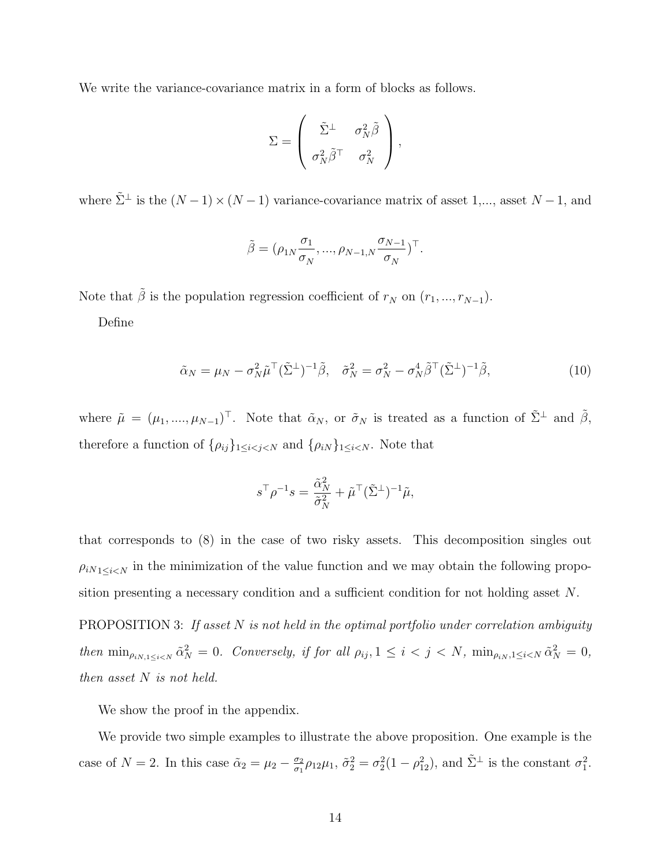We write the variance-covariance matrix in a form of blocks as follows.

$$
\Sigma = \left( \begin{array}{cc} \tilde{\Sigma}^{\perp} & \sigma_N^2 \tilde{\beta} \\ \sigma_N^2 \tilde{\beta}^{\top} & \sigma_N^2 \end{array} \right),
$$

where  $\tilde{\Sigma}^{\perp}$  is the  $(N-1) \times (N-1)$  variance-covariance matrix of asset 1,..., asset  $N-1$ , and

$$
\tilde{\boldsymbol{\beta}} = (\rho_{1N} \frac{\sigma_1}{\sigma_N}, ..., \rho_{N-1,N} \frac{\sigma_{N-1}}{\sigma_N})^{\top}.
$$

Note that  $\tilde{\beta}$  is the population regression coefficient of  $r_N$  on  $(r_1, ..., r_{N-1})$ .

Define

$$
\tilde{\alpha}_N = \mu_N - \sigma_N^2 \tilde{\mu}^\top (\tilde{\Sigma}^\perp)^{-1} \tilde{\beta}, \quad \tilde{\sigma}_N^2 = \sigma_N^2 - \sigma_N^4 \tilde{\beta}^\top (\tilde{\Sigma}^\perp)^{-1} \tilde{\beta}, \tag{10}
$$

where  $\tilde{\mu} = (\mu_1, ..., \mu_{N-1})^\top$ . Note that  $\tilde{\alpha}_N$ , or  $\tilde{\sigma}_N$  is treated as a function of  $\tilde{\Sigma}^{\perp}$  and  $\tilde{\beta}$ , therefore a function of  $\{\rho_{ij}\}_{1 \leq i < j < N}$  and  $\{\rho_{iN}\}_{1 \leq i < N}$ . Note that

$$
s^{\top} \rho^{-1} s = \frac{\tilde{\alpha}_N^2}{\tilde{\sigma}_N^2} + \tilde{\mu}^{\top} (\tilde{\Sigma}^{\perp})^{-1} \tilde{\mu},
$$

that corresponds to (8) in the case of two risky assets. This decomposition singles out  $\rho_{iN_1\leq i\leq N}$  in the minimization of the value function and we may obtain the following proposition presenting a necessary condition and a sufficient condition for not holding asset N.

<span id="page-13-0"></span>**PROPOSITION 3:** If asset N is not held in the optimal portfolio under correlation ambiguity then  $\min_{\rho_{iN,1\leq i\leq N}} \tilde{\alpha}_N^2 = 0$ . Conversely, if for all  $\rho_{ij}, 1 \leq i \leq j \leq N$ ,  $\min_{\rho_{iN},1\leq i\leq N} \tilde{\alpha}_N^2 = 0$ , then asset N is not held.

We show the proof in the appendix.

We provide two simple examples to illustrate the above proposition. One example is the case of  $N = 2$ . In this case  $\tilde{\alpha}_2 = \mu_2 - \frac{\sigma_2}{\sigma_1}$  $\frac{\sigma_2}{\sigma_1} \rho_{12} \mu_1$ ,  $\tilde{\sigma}_2^2 = \sigma_2^2 (1 - \rho_{12}^2)$ , and  $\tilde{\Sigma}^{\perp}$  is the constant  $\sigma_1^2$ .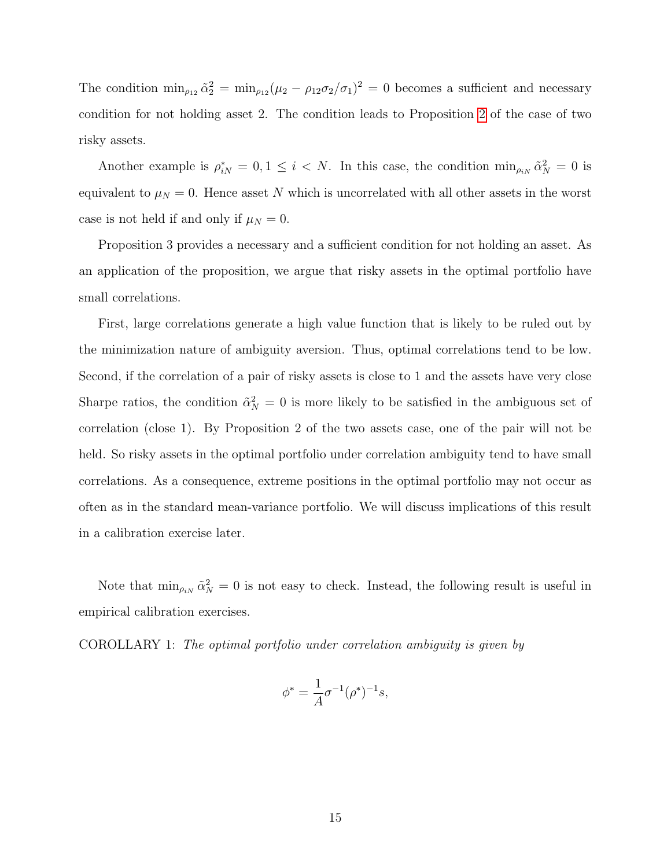The condition  $\min_{\rho_{12}} \tilde{\alpha}_2^2 = \min_{\rho_{12}} (\mu_2 - \rho_{12} \sigma_2/\sigma_1)^2 = 0$  becomes a sufficient and necessary condition for not holding asset 2. The condition leads to Proposition [2](#page-11-0) of the case of two risky assets.

Another example is  $\rho_{iN}^* = 0, 1 \leq i \leq N$ . In this case, the condition  $\min_{\rho_{iN}} \tilde{\alpha}_N^2 = 0$  is equivalent to  $\mu_N = 0$ . Hence asset N which is uncorrelated with all other assets in the worst case is not held if and only if  $\mu_N = 0$ .

Proposition 3 provides a necessary and a sufficient condition for not holding an asset. As an application of the proposition, we argue that risky assets in the optimal portfolio have small correlations.

First, large correlations generate a high value function that is likely to be ruled out by the minimization nature of ambiguity aversion. Thus, optimal correlations tend to be low. Second, if the correlation of a pair of risky assets is close to 1 and the assets have very close Sharpe ratios, the condition  $\tilde{\alpha}_N^2 = 0$  is more likely to be satisfied in the ambiguous set of correlation (close 1). By Proposition 2 of the two assets case, one of the pair will not be held. So risky assets in the optimal portfolio under correlation ambiguity tend to have small correlations. As a consequence, extreme positions in the optimal portfolio may not occur as often as in the standard mean-variance portfolio. We will discuss implications of this result in a calibration exercise later.

Note that  $\min_{\rho_{iN}} \tilde{\alpha}_N^2 = 0$  is not easy to check. Instead, the following result is useful in empirical calibration exercises.

<span id="page-14-0"></span>COROLLARY 1: The optimal portfolio under correlation ambiguity is given by

$$
\phi^* = \frac{1}{A} \sigma^{-1} (\rho^*)^{-1} s,
$$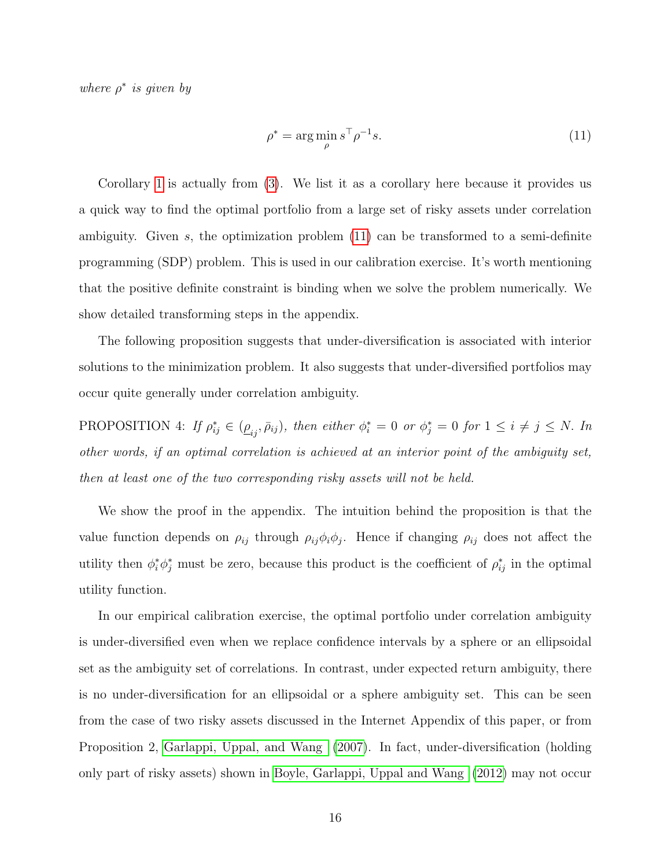where  $\rho^*$  is given by

<span id="page-15-0"></span>
$$
\rho^* = \arg\min_{\rho} s^\top \rho^{-1} s. \tag{11}
$$

Corollary [1](#page-14-0) is actually from [\(3\)](#page-5-0). We list it as a corollary here because it provides us a quick way to find the optimal portfolio from a large set of risky assets under correlation ambiguity. Given s, the optimization problem [\(11\)](#page-15-0) can be transformed to a semi-definite programming (SDP) problem. This is used in our calibration exercise. It's worth mentioning that the positive definite constraint is binding when we solve the problem numerically. We show detailed transforming steps in the appendix.

The following proposition suggests that under-diversification is associated with interior solutions to the minimization problem. It also suggests that under-diversified portfolios may occur quite generally under correlation ambiguity.

<span id="page-15-1"></span>PROPOSITION 4: If  $\rho_{ij}^* \in (\underline{\rho}_{ij}, \bar{\rho}_{ij})$ , then either  $\phi_i^* = 0$  or  $\phi_j^* = 0$  for  $1 \le i \ne j \le N$ . In other words, if an optimal correlation is achieved at an interior point of the ambiguity set, then at least one of the two corresponding risky assets will not be held.

We show the proof in the appendix. The intuition behind the proposition is that the value function depends on  $\rho_{ij}$  through  $\rho_{ij}\phi_i\phi_j$ . Hence if changing  $\rho_{ij}$  does not affect the utility then  $\phi_i^* \phi_j^*$  must be zero, because this product is the coefficient of  $\rho_{ij}^*$  in the optimal utility function.

In our empirical calibration exercise, the optimal portfolio under correlation ambiguity is under-diversified even when we replace confidence intervals by a sphere or an ellipsoidal set as the ambiguity set of correlations. In contrast, under expected return ambiguity, there is no under-diversification for an ellipsoidal or a sphere ambiguity set. This can be seen from the case of two risky assets discussed in the Internet Appendix of this paper, or from Proposition 2, [Garlappi, Uppal, and Wang](#page-34-3) [\(2007\)](#page-34-3). In fact, under-diversification (holding only part of risky assets) shown in [Boyle, Garlappi, Uppal and Wang](#page-34-0) [\(2012\)](#page-34-0) may not occur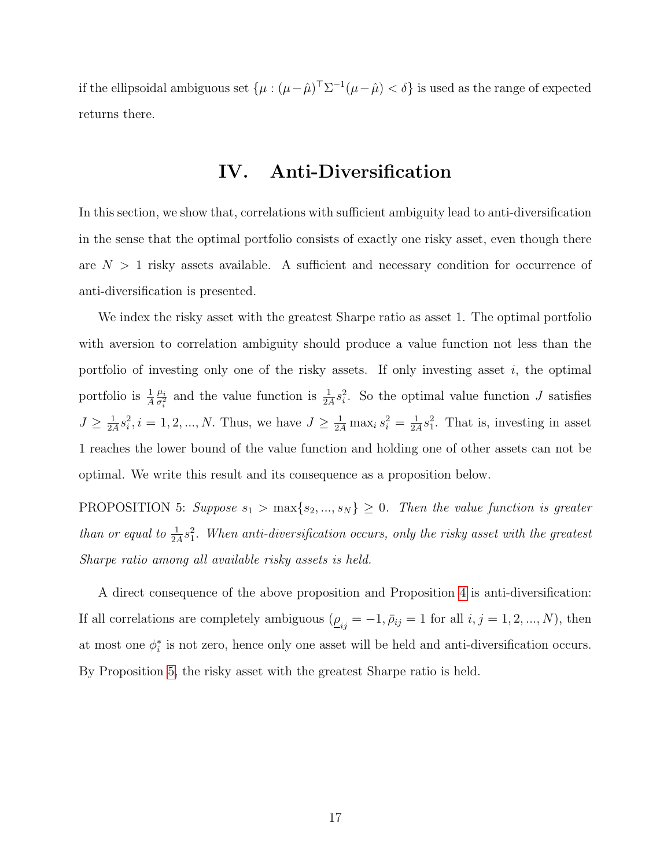if the ellipsoidal ambiguous set  $\{\mu : (\mu - \hat{\mu})^{\top} \Sigma^{-1} (\mu - \hat{\mu}) < \delta\}$  is used as the range of expected returns there.

#### IV. Anti-Diversification

In this section, we show that, correlations with sufficient ambiguity lead to anti-diversification in the sense that the optimal portfolio consists of exactly one risky asset, even though there are  $N > 1$  risky assets available. A sufficient and necessary condition for occurrence of anti-diversification is presented.

We index the risky asset with the greatest Sharpe ratio as asset 1. The optimal portfolio with aversion to correlation ambiguity should produce a value function not less than the portfolio of investing only one of the risky assets. If only investing asset  $i$ , the optimal portfolio is  $\frac{1}{A}$  $\mu_i$  $\frac{\mu_i}{\sigma_i^2}$  and the value function is  $\frac{1}{2A} s_i^2$ . So the optimal value function J satisfies  $J\geq \frac{1}{2}$  $\frac{1}{2A}s_i^2, i = 1, 2, ..., N$ . Thus, we have  $J \ge \frac{1}{2A} \max_i s_i^2 = \frac{1}{2A}$  $\frac{1}{2A}s_1^2$ . That is, investing in asset 1 reaches the lower bound of the value function and holding one of other assets can not be optimal. We write this result and its consequence as a proposition below.

<span id="page-16-0"></span>PROPOSITION 5: Suppose  $s_1 > \max\{s_2, ..., s_N\} \geq 0$ . Then the value function is greater than or equal to  $\frac{1}{2A}s_1^2$ . When anti-diversification occurs, only the risky asset with the greatest Sharpe ratio among all available risky assets is held.

A direct consequence of the above proposition and Proposition [4](#page-15-1) is anti-diversification: If all correlations are completely ambiguous  $(\underline{\rho}_{ij} = -1, \bar{\rho}_{ij} = 1$  for all  $i, j = 1, 2, ..., N$ ), then at most one  $\phi_i^*$  is not zero, hence only one asset will be held and anti-diversification occurs. By Proposition [5,](#page-16-0) the risky asset with the greatest Sharpe ratio is held.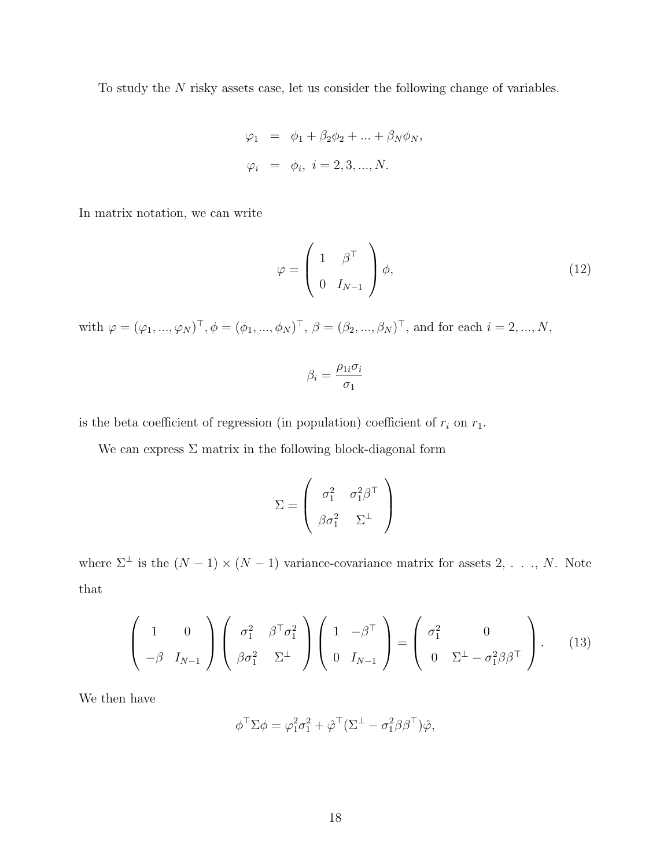To study the N risky assets case, let us consider the following change of variables.

$$
\varphi_1 = \phi_1 + \beta_2 \phi_2 + \dots + \beta_N \phi_N,
$$
  

$$
\varphi_i = \phi_i, \quad i = 2, 3, \dots, N.
$$

In matrix notation, we can write

$$
\varphi = \left(\begin{array}{cc} 1 & \beta^{\top} \\ 0 & I_{N-1} \end{array}\right) \phi,\tag{12}
$$

with  $\varphi = (\varphi_1, ..., \varphi_N)^\top, \phi = (\phi_1, ..., \phi_N)^\top, \ \beta = (\beta_2, ..., \beta_N)^\top$ , and for each  $i = 2, ..., N$ ,

<span id="page-17-0"></span>
$$
\beta_i = \frac{\rho_{1i}\sigma_i}{\sigma_1}
$$

is the beta coefficient of regression (in population) coefficient of  $r_i$  on  $r_1$ .

We can express  $\Sigma$  matrix in the following block-diagonal form

$$
\Sigma = \left(\begin{array}{cc} \sigma_1^2 & \sigma_1^2 \beta^\top \\ \beta \sigma_1^2 & \Sigma^\perp \end{array}\right)
$$

where  $\Sigma^{\perp}$  is the  $(N-1) \times (N-1)$  variance-covariance matrix for assets 2, ..., N. Note that

$$
\begin{pmatrix} 1 & 0 \\ -\beta & I_{N-1} \end{pmatrix} \begin{pmatrix} \sigma_1^2 & \beta^\top \sigma_1^2 \\ \beta \sigma_1^2 & \Sigma^\perp \end{pmatrix} \begin{pmatrix} 1 & -\beta^\top \\ 0 & I_{N-1} \end{pmatrix} = \begin{pmatrix} \sigma_1^2 & 0 \\ 0 & \Sigma^\perp - \sigma_1^2 \beta \beta^\top \end{pmatrix}.
$$
 (13)

We then have

$$
\phi^{\top} \Sigma \phi = \varphi_1^2 \sigma_1^2 + \hat{\varphi}^{\top} (\Sigma^{\perp} - \sigma_1^2 \beta \beta^{\top}) \hat{\varphi},
$$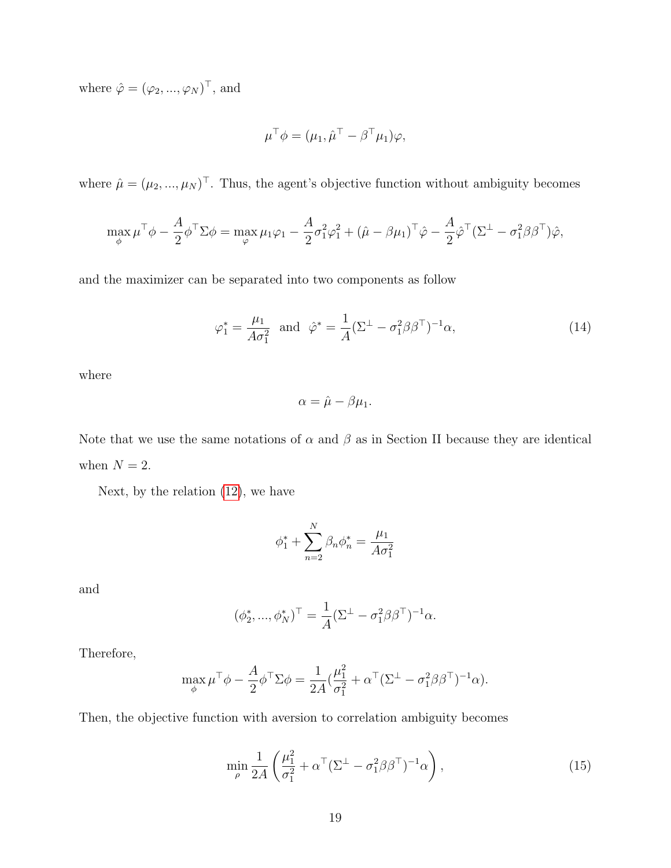where  $\hat{\varphi} = (\varphi_2, ..., \varphi_N)^\top$ , and

$$
\mu^{\top} \phi = (\mu_1, \hat{\mu}^{\top} - \beta^{\top} \mu_1) \varphi,
$$

where  $\hat{\mu} = (\mu_2, ..., \mu_N)^\top$ . Thus, the agent's objective function without ambiguity becomes

$$
\max_{\phi} \mu^{\top} \phi - \frac{A}{2} \phi^{\top} \Sigma \phi = \max_{\varphi} \mu_1 \varphi_1 - \frac{A}{2} \sigma_1^2 \varphi_1^2 + (\hat{\mu} - \beta \mu_1)^{\top} \hat{\varphi} - \frac{A}{2} \hat{\varphi}^{\top} (\Sigma^{\perp} - \sigma_1^2 \beta \beta^{\top}) \hat{\varphi},
$$

and the maximizer can be separated into two components as follow

$$
\varphi_1^* = \frac{\mu_1}{A\sigma_1^2} \quad \text{and} \quad \hat{\varphi}^* = \frac{1}{A} (\Sigma^\perp - \sigma_1^2 \beta \beta^\top)^{-1} \alpha,\tag{14}
$$

where

$$
\alpha = \hat{\mu} - \beta \mu_1.
$$

Note that we use the same notations of  $\alpha$  and  $\beta$  as in Section II because they are identical when  $N = 2$ .

Next, by the relation [\(12\)](#page-17-0), we have

$$
\phi_1^* + \sum_{n=2}^N \beta_n \phi_n^* = \frac{\mu_1}{A\sigma_1^2}
$$

and

$$
(\phi_2^*, ..., \phi_N^*)^{\top} = \frac{1}{A} (\Sigma^{\perp} - \sigma_1^2 \beta \beta^{\top})^{-1} \alpha.
$$

Therefore,

$$
\max_{\phi} \mu^{\top} \phi - \frac{A}{2} \phi^{\top} \Sigma \phi = \frac{1}{2A} (\frac{\mu_1^2}{\sigma_1^2} + \alpha^{\top} (\Sigma^{\perp} - \sigma_1^2 \beta \beta^{\top})^{-1} \alpha).
$$

Then, the objective function with aversion to correlation ambiguity becomes

<span id="page-18-0"></span>
$$
\min_{\rho} \frac{1}{2A} \left( \frac{\mu_1^2}{\sigma_1^2} + \alpha^{\top} (\Sigma^{\perp} - \sigma_1^2 \beta \beta^{\top})^{-1} \alpha \right), \tag{15}
$$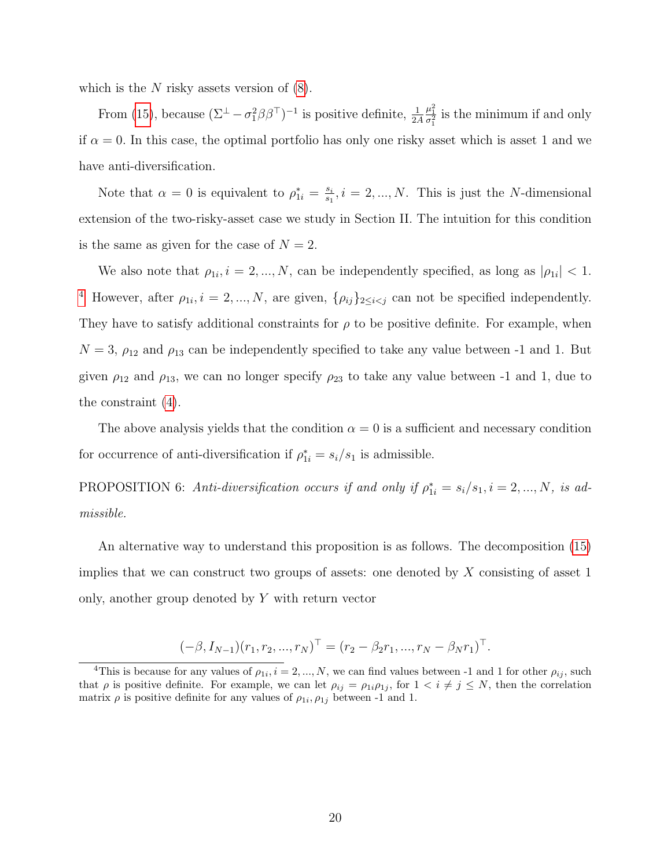which is the  $N$  risky assets version of  $(8)$ .

From [\(15\)](#page-18-0), because  $(\Sigma^{\perp} - \sigma_1^2 \beta \beta^{\top})^{-1}$  is positive definite,  $\frac{1}{2A}$  $\frac{\mu_1^2}{\sigma_1^2}$  is the minimum if and only if  $\alpha = 0$ . In this case, the optimal portfolio has only one risky asset which is asset 1 and we have anti-diversification.

Note that  $\alpha = 0$  is equivalent to  $\rho_{1i}^* = \frac{s_i}{s_1}$  $\frac{s_i}{s_1}, i = 2, ..., N$ . This is just the N-dimensional extension of the two-risky-asset case we study in Section II. The intuition for this condition is the same as given for the case of  $N = 2$ .

We also note that  $\rho_{1i}, i = 2, ..., N$ , can be independently specified, as long as  $|\rho_{1i}| < 1$ . <sup>[4](#page-19-0)</sup> However, after  $\rho_{1i}$ ,  $i = 2, ..., N$ , are given,  $\{\rho_{ij}\}_{2 \leq i < j}$  can not be specified independently. They have to satisfy additional constraints for  $\rho$  to be positive definite. For example, when  $N = 3$ ,  $\rho_{12}$  and  $\rho_{13}$  can be independently specified to take any value between -1 and 1. But given  $\rho_{12}$  and  $\rho_{13}$ , we can no longer specify  $\rho_{23}$  to take any value between -1 and 1, due to the constraint [\(4\)](#page-6-0).

The above analysis yields that the condition  $\alpha = 0$  is a sufficient and necessary condition for occurrence of anti-diversification if  $\rho_{1i}^* = s_i/s_1$  is admissible.

<span id="page-19-1"></span>PROPOSITION 6: Anti-diversification occurs if and only if  $\rho_{1i}^* = s_i/s_1, i = 2, ..., N$ , is admissible.

An alternative way to understand this proposition is as follows. The decomposition [\(15\)](#page-18-0) implies that we can construct two groups of assets: one denoted by  $X$  consisting of asset 1 only, another group denoted by Y with return vector

$$
(-\beta, I_{N-1})(r_1, r_2, ..., r_N)^{\top} = (r_2 - \beta_2 r_1, ..., r_N - \beta_N r_1)^{\top}.
$$

<span id="page-19-0"></span><sup>&</sup>lt;sup>4</sup>This is because for any values of  $\rho_{1i}$ ,  $i = 2, ..., N$ , we can find values between -1 and 1 for other  $\rho_{ij}$ , such that  $\rho$  is positive definite. For example, we can let  $\rho_{ij} = \rho_{1i}\rho_{1j}$ , for  $1 \lt i \neq j \leq N$ , then the correlation matrix  $\rho$  is positive definite for any values of  $\rho_{1i}, \rho_{1j}$  between -1 and 1.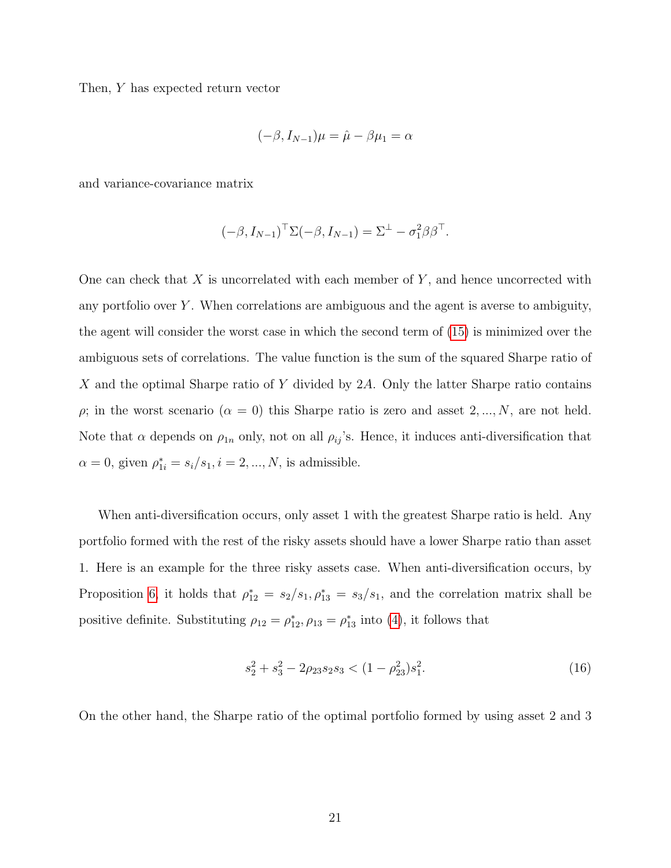Then, Y has expected return vector

$$
(-\beta, I_{N-1})\mu = \hat{\mu} - \beta \mu_1 = \alpha
$$

and variance-covariance matrix

$$
(-\beta, I_{N-1})^{\top} \Sigma(-\beta, I_{N-1}) = \Sigma^{\perp} - \sigma_1^2 \beta \beta^{\top}.
$$

One can check that  $X$  is uncorrelated with each member of  $Y$ , and hence uncorrected with any portfolio over  $Y$ . When correlations are ambiguous and the agent is averse to ambiguity, the agent will consider the worst case in which the second term of [\(15\)](#page-18-0) is minimized over the ambiguous sets of correlations. The value function is the sum of the squared Sharpe ratio of X and the optimal Sharpe ratio of Y divided by 2A. Only the latter Sharpe ratio contains  $\rho$ ; in the worst scenario  $(\alpha = 0)$  this Sharpe ratio is zero and asset  $2, ..., N$ , are not held. Note that  $\alpha$  depends on  $\rho_{1n}$  only, not on all  $\rho_{ij}$ 's. Hence, it induces anti-diversification that  $\alpha = 0$ , given  $\rho_{1i}^* = s_i/s_1, i = 2, ..., N$ , is admissible.

When anti-diversification occurs, only asset 1 with the greatest Sharpe ratio is held. Any portfolio formed with the rest of the risky assets should have a lower Sharpe ratio than asset 1. Here is an example for the three risky assets case. When anti-diversification occurs, by Proposition [6,](#page-19-1) it holds that  $\rho_{12}^* = s_2/s_1, \rho_{13}^* = s_3/s_1$ , and the correlation matrix shall be positive definite. Substituting  $\rho_{12} = \rho_{12}^*, \rho_{13} = \rho_{13}^*$  into [\(4\)](#page-6-0), it follows that

<span id="page-20-0"></span>
$$
s_2^2 + s_3^2 - 2\rho_{23}s_2s_3 < (1 - \rho_{23}^2)s_1^2. \tag{16}
$$

On the other hand, the Sharpe ratio of the optimal portfolio formed by using asset 2 and 3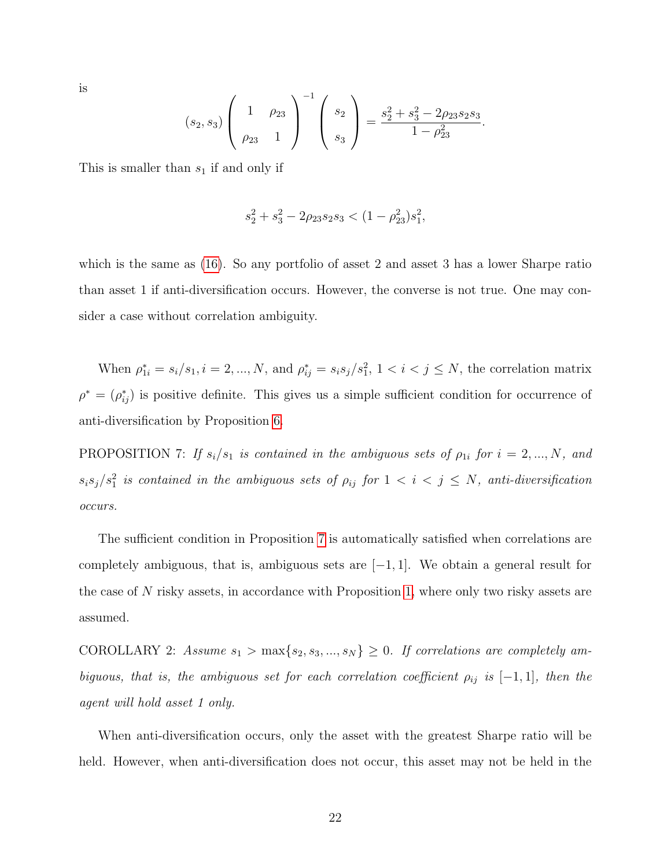is

$$
(s_2, s_3) \left(\begin{array}{cc} 1 & \rho_{23} \\ \rho_{23} & 1 \end{array}\right)^{-1} \left(\begin{array}{c} s_2 \\ s_3 \end{array}\right) = \frac{s_2^2 + s_3^2 - 2\rho_{23}s_2s_3}{1 - \rho_{23}^2}.
$$

This is smaller than  $s_1$  if and only if

$$
s_2^2 + s_3^2 - 2\rho_{23}s_2s_3 < (1 - \rho_{23}^2)s_1^2,
$$

which is the same as [\(16\)](#page-20-0). So any portfolio of asset 2 and asset 3 has a lower Sharpe ratio than asset 1 if anti-diversification occurs. However, the converse is not true. One may consider a case without correlation ambiguity.

When  $\rho_{1i}^* = s_i/s_1, i = 2, ..., N$ , and  $\rho_{ij}^* = s_i s_j/s_1^2, 1 < i < j \le N$ , the correlation matrix  $\rho^* = (\rho_{ij}^*)$  is positive definite. This gives us a simple sufficient condition for occurrence of anti-diversification by Proposition [6.](#page-19-1)

<span id="page-21-0"></span>PROPOSITION 7: If  $s_i/s_1$  is contained in the ambiguous sets of  $\rho_{1i}$  for  $i = 2, ..., N$ , and  $s_i s_j / s_1^2$  is contained in the ambiguous sets of  $\rho_{ij}$  for  $1 < i < j \le N$ , anti-diversification occurs.

The sufficient condition in Proposition [7](#page-21-0) is automatically satisfied when correlations are completely ambiguous, that is, ambiguous sets are  $[-1, 1]$ . We obtain a general result for the case of N risky assets, in accordance with Proposition [1,](#page-7-0) where only two risky assets are assumed.

COROLLARY 2: Assume  $s_1 > \max\{s_2, s_3, ..., s_N\} \geq 0$ . If correlations are completely ambiguous, that is, the ambiguous set for each correlation coefficient  $\rho_{ij}$  is  $[-1, 1]$ , then the agent will hold asset 1 only.

When anti-diversification occurs, only the asset with the greatest Sharpe ratio will be held. However, when anti-diversification does not occur, this asset may not be held in the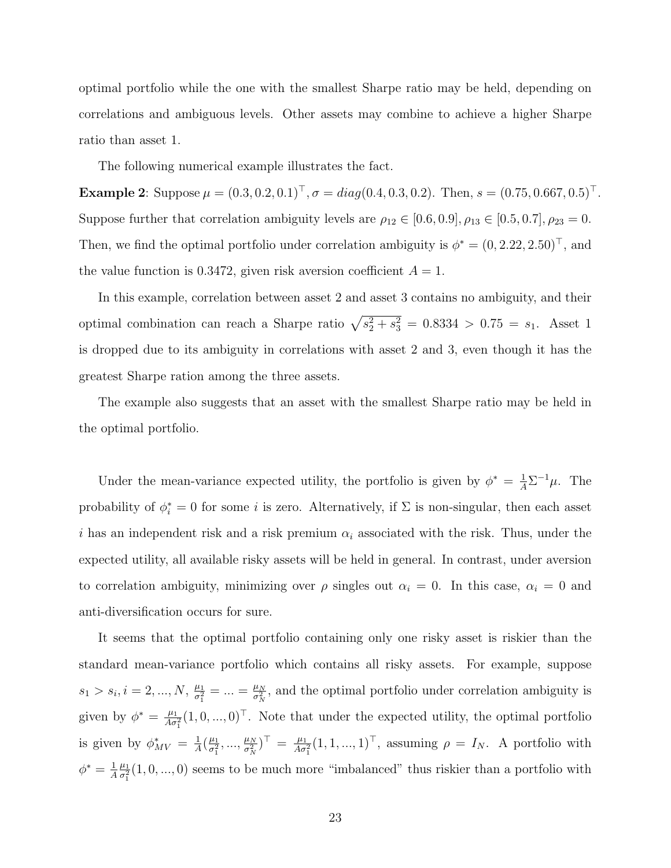optimal portfolio while the one with the smallest Sharpe ratio may be held, depending on correlations and ambiguous levels. Other assets may combine to achieve a higher Sharpe ratio than asset 1.

The following numerical example illustrates the fact.

**Example 2:** Suppose  $\mu = (0.3, 0.2, 0.1)^{\top}, \sigma = diag(0.4, 0.3, 0.2)$ . Then,  $s = (0.75, 0.667, 0.5)^{\top}$ . Suppose further that correlation ambiguity levels are  $\rho_{12} \in [0.6, 0.9], \rho_{13} \in [0.5, 0.7], \rho_{23} = 0.$ Then, we find the optimal portfolio under correlation ambiguity is  $\phi^* = (0, 2.22, 2.50)^{\top}$ , and the value function is 0.3472, given risk aversion coefficient  $A = 1$ .

In this example, correlation between asset 2 and asset 3 contains no ambiguity, and their optimal combination can reach a Sharpe ratio  $\sqrt{s_2^2 + s_3^2} = 0.8334 > 0.75 = s_1$ . Asset 1 is dropped due to its ambiguity in correlations with asset 2 and 3, even though it has the greatest Sharpe ration among the three assets.

The example also suggests that an asset with the smallest Sharpe ratio may be held in the optimal portfolio.

Under the mean-variance expected utility, the portfolio is given by  $\phi^* = \frac{1}{A} \Sigma^{-1} \mu$ . The probability of  $\phi_i^* = 0$  for some *i* is zero. Alternatively, if  $\Sigma$  is non-singular, then each asset i has an independent risk and a risk premium  $\alpha_i$  associated with the risk. Thus, under the expected utility, all available risky assets will be held in general. In contrast, under aversion to correlation ambiguity, minimizing over  $\rho$  singles out  $\alpha_i = 0$ . In this case,  $\alpha_i = 0$  and anti-diversification occurs for sure.

It seems that the optimal portfolio containing only one risky asset is riskier than the standard mean-variance portfolio which contains all risky assets. For example, suppose  $s_1 > s_i, i = 2, ..., N, \frac{\mu_1}{\sigma^2}$  $\frac{\mu_1}{\sigma_1^2} = ... = \frac{\mu_N}{\sigma_N^2}$  $\frac{\mu_N}{\sigma_N^2}$ , and the optimal portfolio under correlation ambiguity is given by  $\phi^* = \frac{\mu_1}{4\pi}$  $\frac{\mu_1}{A\sigma_1^2}(1,0,...,0)^\top$ . Note that under the expected utility, the optimal portfolio is given by  $\phi_{MV}^* = \frac{1}{A}$  $\frac{1}{A}(\frac{\mu_1}{\sigma_1^2})$  $\frac{\mu_1}{\sigma_1^2},...,\frac{\mu_N}{\sigma_N^2}$  $\frac{\mu_N}{\sigma_N^2}$ )<sup>T</sup> =  $\frac{\mu_1}{A\sigma_N^2}$  $\frac{\mu_1}{A\sigma_1^2}(1,1,...,1)^\top$ , assuming  $\rho = I_N$ . A portfolio with  $\phi^* = \frac{1}{4}$ A  $\mu_1$  $\frac{\mu_1}{\sigma_1^2}(1,0,...,0)$  seems to be much more "imbalanced" thus riskier than a portfolio with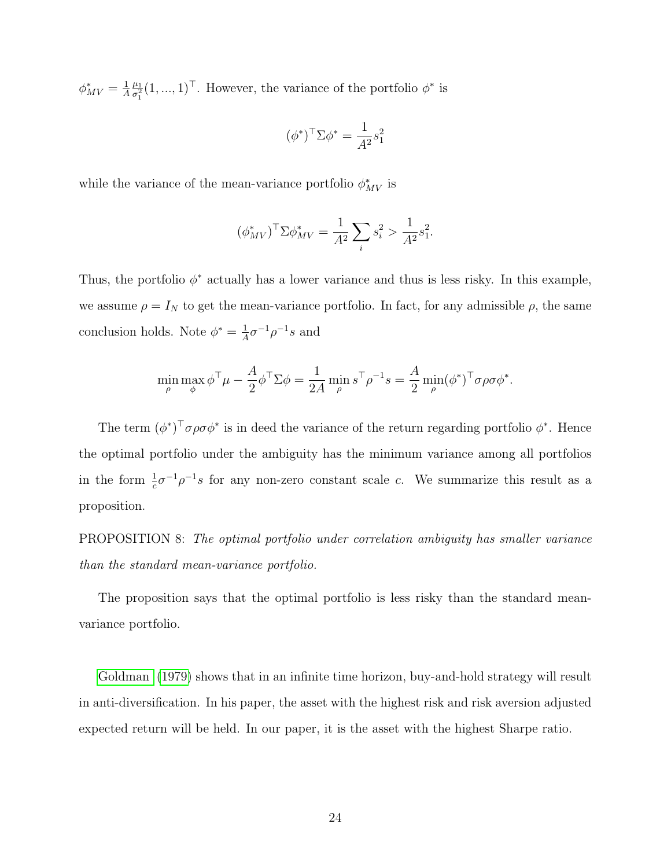$\phi^*_{MV} = \frac{1}{A}$ A  $\mu_1$  $\frac{\mu_1}{\sigma_1^2}(1,...,1)^\top$ . However, the variance of the portfolio  $\phi^*$  is

$$
(\phi^*)^\top \Sigma \phi^* = \frac{1}{A^2} s_1^2
$$

while the variance of the mean-variance portfolio  $\phi_{MV}^*$  is

$$
(\phi_{MV}^*)^{\top} \Sigma \phi_{MV}^* = \frac{1}{A^2} \sum_i s_i^2 > \frac{1}{A^2} s_1^2.
$$

Thus, the portfolio  $\phi^*$  actually has a lower variance and thus is less risky. In this example, we assume  $\rho = I_N$  to get the mean-variance portfolio. In fact, for any admissible  $\rho$ , the same conclusion holds. Note  $\phi^* = \frac{1}{4}$  $\frac{1}{A}\sigma^{-1}\rho^{-1}s$  and

$$
\min_{\rho} \max_{\phi} \phi^{\top} \mu - \frac{A}{2} \phi^{\top} \Sigma \phi = \frac{1}{2A} \min_{\rho} s^{\top} \rho^{-1} s = \frac{A}{2} \min_{\rho} (\phi^*)^{\top} \sigma \rho \sigma \phi^*.
$$

The term  $(\phi^*)^{\top} \sigma \rho \sigma \phi^*$  is in deed the variance of the return regarding portfolio  $\phi^*$ . Hence the optimal portfolio under the ambiguity has the minimum variance among all portfolios in the form  $\frac{1}{c}\sigma^{-1}\rho^{-1}s$  for any non-zero constant scale c. We summarize this result as a proposition.

PROPOSITION 8: The optimal portfolio under correlation ambiguity has smaller variance than the standard mean-variance portfolio.

The proposition says that the optimal portfolio is less risky than the standard meanvariance portfolio.

[Goldman](#page-35-1) [\(1979\)](#page-35-1) shows that in an infinite time horizon, buy-and-hold strategy will result in anti-diversification. In his paper, the asset with the highest risk and risk aversion adjusted expected return will be held. In our paper, it is the asset with the highest Sharpe ratio.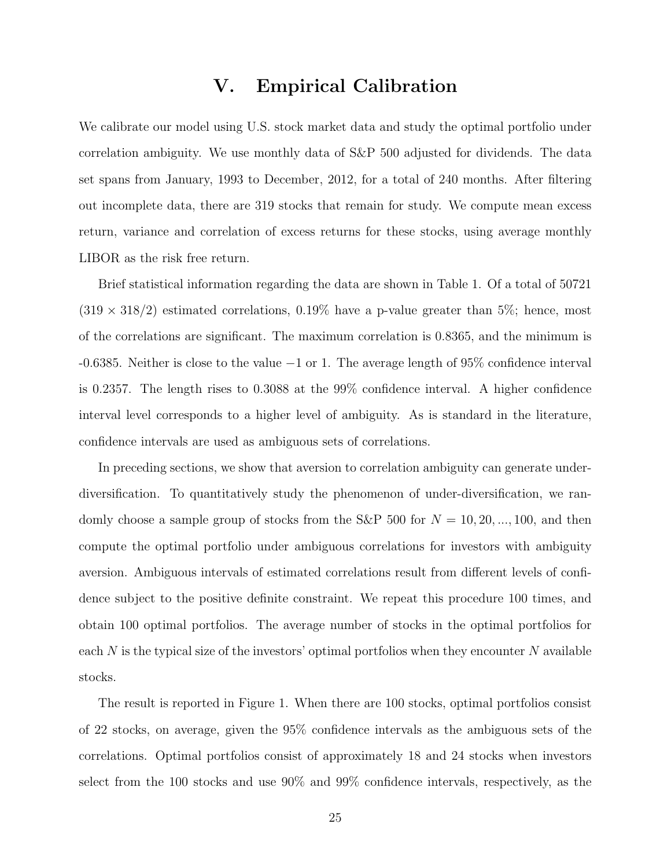#### V. Empirical Calibration

We calibrate our model using U.S. stock market data and study the optimal portfolio under correlation ambiguity. We use monthly data of S&P 500 adjusted for dividends. The data set spans from January, 1993 to December, 2012, for a total of 240 months. After filtering out incomplete data, there are 319 stocks that remain for study. We compute mean excess return, variance and correlation of excess returns for these stocks, using average monthly LIBOR as the risk free return.

Brief statistical information regarding the data are shown in Table 1. Of a total of 50721  $(319 \times 318/2)$  estimated correlations, 0.19% have a p-value greater than 5%; hence, most of the correlations are significant. The maximum correlation is 0.8365, and the minimum is -0.6385. Neither is close to the value −1 or 1. The average length of 95% confidence interval is 0.2357. The length rises to 0.3088 at the 99% confidence interval. A higher confidence interval level corresponds to a higher level of ambiguity. As is standard in the literature, confidence intervals are used as ambiguous sets of correlations.

In preceding sections, we show that aversion to correlation ambiguity can generate underdiversification. To quantitatively study the phenomenon of under-diversification, we randomly choose a sample group of stocks from the S&P 500 for  $N = 10, 20, ..., 100$ , and then compute the optimal portfolio under ambiguous correlations for investors with ambiguity aversion. Ambiguous intervals of estimated correlations result from different levels of confidence subject to the positive definite constraint. We repeat this procedure 100 times, and obtain 100 optimal portfolios. The average number of stocks in the optimal portfolios for each  $N$  is the typical size of the investors' optimal portfolios when they encounter  $N$  available stocks.

The result is reported in Figure 1. When there are 100 stocks, optimal portfolios consist of 22 stocks, on average, given the 95% confidence intervals as the ambiguous sets of the correlations. Optimal portfolios consist of approximately 18 and 24 stocks when investors select from the 100 stocks and use 90% and 99% confidence intervals, respectively, as the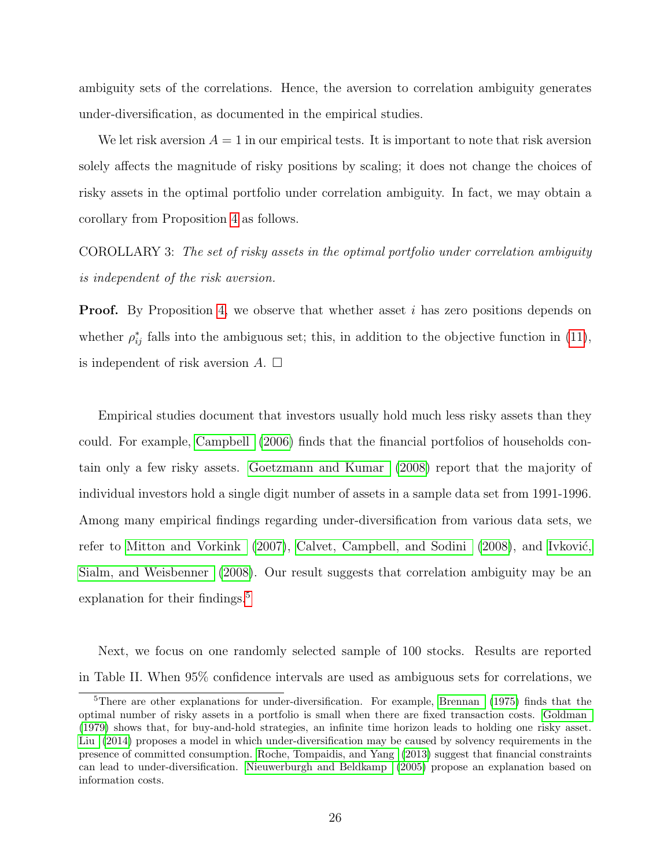ambiguity sets of the correlations. Hence, the aversion to correlation ambiguity generates under-diversification, as documented in the empirical studies.

We let risk aversion  $A = 1$  in our empirical tests. It is important to note that risk aversion solely affects the magnitude of risky positions by scaling; it does not change the choices of risky assets in the optimal portfolio under correlation ambiguity. In fact, we may obtain a corollary from Proposition [4](#page-15-1) as follows.

COROLLARY 3: The set of risky assets in the optimal portfolio under correlation ambiguity is independent of the risk aversion.

**Proof.** By Proposition [4,](#page-15-1) we observe that whether asset i has zero positions depends on whether  $\rho_{ij}^*$  falls into the ambiguous set; this, in addition to the objective function in [\(11\)](#page-15-0), is independent of risk aversion  $A$ .  $\square$ 

Empirical studies document that investors usually hold much less risky assets than they could. For example, [Campbell](#page-34-4) [\(2006\)](#page-34-4) finds that the financial portfolios of households contain only a few risky assets. [Goetzmann and Kumar](#page-34-5) [\(2008\)](#page-34-5) report that the majority of individual investors hold a single digit number of assets in a sample data set from 1991-1996. Among many empirical findings regarding under-diversification from various data sets, we refer to [Mitton and Vorkink](#page-36-6)  $(2007)$ , [Calvet, Campbell, and Sodini](#page-34-6)  $(2008)$ , and Ivković, [Sialm, and Weisbenner](#page-35-7) [\(2008\)](#page-35-7). Our result suggests that correlation ambiguity may be an explanation for their findings.<sup>[5](#page-25-0)</sup>

Next, we focus on one randomly selected sample of 100 stocks. Results are reported in Table II. When 95% confidence intervals are used as ambiguous sets for correlations, we

<span id="page-25-0"></span><sup>&</sup>lt;sup>5</sup>There are other explanations for under-diversification. For example, [Brennan](#page-34-7) [\(1975\)](#page-34-7) finds that the optimal number of risky assets in a portfolio is small when there are fixed transaction costs. [Goldman](#page-35-1) [\(1979\)](#page-35-1) shows that, for buy-and-hold strategies, an infinite time horizon leads to holding one risky asset. [Liu](#page-35-8) [\(2014\)](#page-35-8) proposes a model in which under-diversification may be caused by solvency requirements in the presence of committed consumption. [Roche, Tompaidis, and Yang](#page-36-7) [\(2013\)](#page-36-7) suggest that financial constraints can lead to under-diversification. [Nieuwerburgh and Beldkamp](#page-36-8) [\(2005\)](#page-36-8) propose an explanation based on information costs.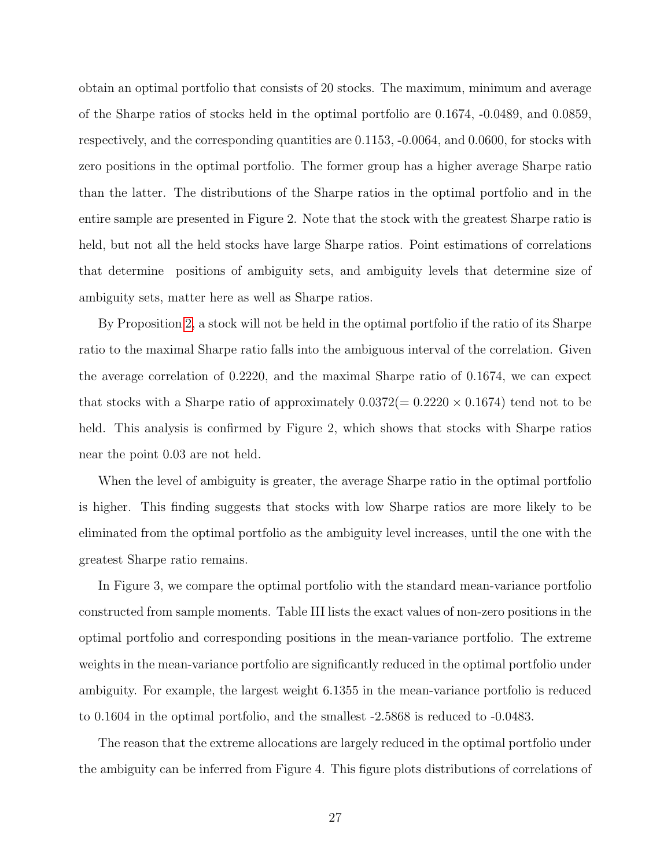obtain an optimal portfolio that consists of 20 stocks. The maximum, minimum and average of the Sharpe ratios of stocks held in the optimal portfolio are 0.1674, -0.0489, and 0.0859, respectively, and the corresponding quantities are 0.1153, -0.0064, and 0.0600, for stocks with zero positions in the optimal portfolio. The former group has a higher average Sharpe ratio than the latter. The distributions of the Sharpe ratios in the optimal portfolio and in the entire sample are presented in Figure 2. Note that the stock with the greatest Sharpe ratio is held, but not all the held stocks have large Sharpe ratios. Point estimations of correlations that determine positions of ambiguity sets, and ambiguity levels that determine size of ambiguity sets, matter here as well as Sharpe ratios.

By Proposition [2,](#page-11-0) a stock will not be held in the optimal portfolio if the ratio of its Sharpe ratio to the maximal Sharpe ratio falls into the ambiguous interval of the correlation. Given the average correlation of 0.2220, and the maximal Sharpe ratio of 0.1674, we can expect that stocks with a Sharpe ratio of approximately  $0.0372(= 0.2220 \times 0.1674)$  tend not to be held. This analysis is confirmed by Figure 2, which shows that stocks with Sharpe ratios near the point 0.03 are not held.

When the level of ambiguity is greater, the average Sharpe ratio in the optimal portfolio is higher. This finding suggests that stocks with low Sharpe ratios are more likely to be eliminated from the optimal portfolio as the ambiguity level increases, until the one with the greatest Sharpe ratio remains.

In Figure 3, we compare the optimal portfolio with the standard mean-variance portfolio constructed from sample moments. Table III lists the exact values of non-zero positions in the optimal portfolio and corresponding positions in the mean-variance portfolio. The extreme weights in the mean-variance portfolio are significantly reduced in the optimal portfolio under ambiguity. For example, the largest weight 6.1355 in the mean-variance portfolio is reduced to 0.1604 in the optimal portfolio, and the smallest -2.5868 is reduced to -0.0483.

The reason that the extreme allocations are largely reduced in the optimal portfolio under the ambiguity can be inferred from Figure 4. This figure plots distributions of correlations of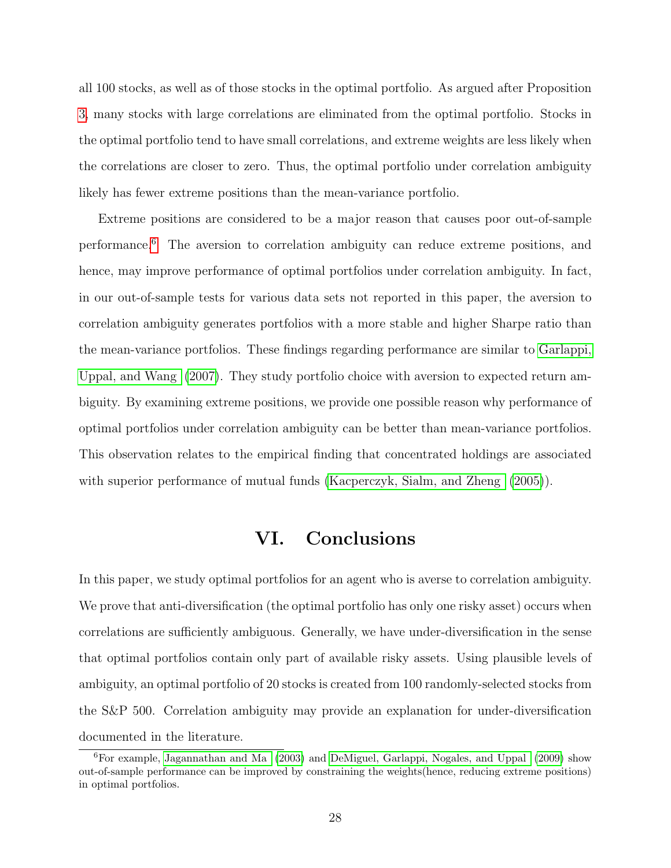all 100 stocks, as well as of those stocks in the optimal portfolio. As argued after Proposition [3,](#page-13-0) many stocks with large correlations are eliminated from the optimal portfolio. Stocks in the optimal portfolio tend to have small correlations, and extreme weights are less likely when the correlations are closer to zero. Thus, the optimal portfolio under correlation ambiguity likely has fewer extreme positions than the mean-variance portfolio.

Extreme positions are considered to be a major reason that causes poor out-of-sample performance.[6](#page-27-0) The aversion to correlation ambiguity can reduce extreme positions, and hence, may improve performance of optimal portfolios under correlation ambiguity. In fact, in our out-of-sample tests for various data sets not reported in this paper, the aversion to correlation ambiguity generates portfolios with a more stable and higher Sharpe ratio than the mean-variance portfolios. These findings regarding performance are similar to [Garlappi,](#page-34-3) [Uppal, and Wang](#page-34-3) [\(2007\)](#page-34-3). They study portfolio choice with aversion to expected return ambiguity. By examining extreme positions, we provide one possible reason why performance of optimal portfolios under correlation ambiguity can be better than mean-variance portfolios. This observation relates to the empirical finding that concentrated holdings are associated with superior performance of mutual funds [\(Kacperczyk, Sialm, and Zheng](#page-35-9) [\(2005\)](#page-35-9)).

## VI. Conclusions

In this paper, we study optimal portfolios for an agent who is averse to correlation ambiguity. We prove that anti-diversification (the optimal portfolio has only one risky asset) occurs when correlations are sufficiently ambiguous. Generally, we have under-diversification in the sense that optimal portfolios contain only part of available risky assets. Using plausible levels of ambiguity, an optimal portfolio of 20 stocks is created from 100 randomly-selected stocks from the S&P 500. Correlation ambiguity may provide an explanation for under-diversification documented in the literature.

<span id="page-27-0"></span><sup>&</sup>lt;sup>6</sup>For example, [Jagannathan and Ma](#page-35-0) [\(2003\)](#page-35-0) and [DeMiguel, Garlappi, Nogales, and Uppal](#page-34-8) [\(2009\)](#page-34-8) show out-of-sample performance can be improved by constraining the weights(hence, reducing extreme positions) in optimal portfolios.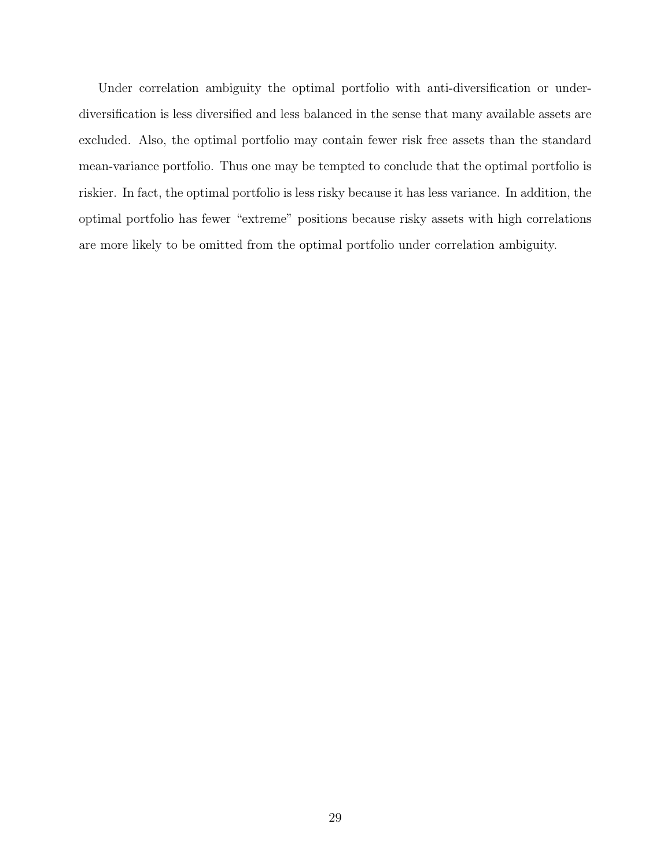Under correlation ambiguity the optimal portfolio with anti-diversification or underdiversification is less diversified and less balanced in the sense that many available assets are excluded. Also, the optimal portfolio may contain fewer risk free assets than the standard mean-variance portfolio. Thus one may be tempted to conclude that the optimal portfolio is riskier. In fact, the optimal portfolio is less risky because it has less variance. In addition, the optimal portfolio has fewer "extreme" positions because risky assets with high correlations are more likely to be omitted from the optimal portfolio under correlation ambiguity.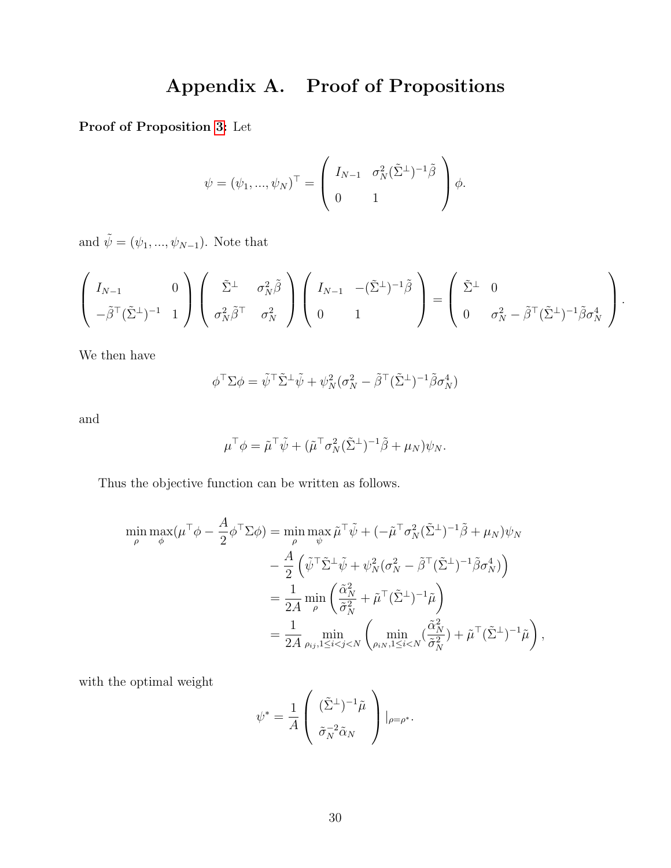# Appendix A. Proof of Propositions

Proof of Proposition [3:](#page-13-0) Let

$$
\psi = (\psi_1, ..., \psi_N)^\top = \left( \begin{array}{cc} I_{N-1} & \sigma_N^2 (\tilde{\Sigma}^{\perp})^{-1} \tilde{\beta} \\ 0 & 1 \end{array} \right) \phi.
$$

and  $\tilde{\psi} = (\psi_1, ..., \psi_{N-1})$ . Note that

$$
\begin{pmatrix}\nI_{N-1} & 0 \\
-\tilde{\beta}^{\top}(\tilde{\Sigma}^{\perp})^{-1} & 1\n\end{pmatrix}\n\begin{pmatrix}\n\tilde{\Sigma}^{\perp} & \sigma_N^2 \tilde{\beta} \\
\sigma_N^2 \tilde{\beta}^{\top} & \sigma_N^2\n\end{pmatrix}\n\begin{pmatrix}\nI_{N-1} & -(\tilde{\Sigma}^{\perp})^{-1} \tilde{\beta} \\
0 & 1\n\end{pmatrix} = \begin{pmatrix}\n\tilde{\Sigma}^{\perp} & 0 \\
0 & \sigma_N^2 - \tilde{\beta}^{\top}(\tilde{\Sigma}^{\perp})^{-1} \tilde{\beta} \sigma_N^4\n\end{pmatrix}.
$$

We then have

$$
\phi^{\top} \Sigma \phi = \tilde{\psi}^{\top} \tilde{\Sigma}^{\perp} \tilde{\psi} + \psi_N^2 (\sigma_N^2 - \tilde{\beta}^{\top} (\tilde{\Sigma}^{\perp})^{-1} \tilde{\beta} \sigma_N^4)
$$

and

$$
\mu^{\top} \phi = \tilde{\mu}^{\top} \tilde{\psi} + (\tilde{\mu}^{\top} \sigma_N^2 (\tilde{\Sigma}^{\perp})^{-1} \tilde{\beta} + \mu_N) \psi_N.
$$

Thus the objective function can be written as follows.

$$
\min_{\rho} \max_{\phi} (\mu^{\top} \phi - \frac{A}{2} \phi^{\top} \Sigma \phi) = \min_{\rho} \max_{\psi} \tilde{\mu}^{\top} \tilde{\psi} + (-\tilde{\mu}^{\top} \sigma_N^2 (\tilde{\Sigma}^{\perp})^{-1} \tilde{\beta} + \mu_N) \psi_N \n- \frac{A}{2} \left( \tilde{\psi}^{\top} \tilde{\Sigma}^{\perp} \tilde{\psi} + \psi_N^2 (\sigma_N^2 - \tilde{\beta}^{\top} (\tilde{\Sigma}^{\perp})^{-1} \tilde{\beta} \sigma_N^4) \right) \n= \frac{1}{2A} \min_{\rho} \left( \frac{\tilde{\alpha}_N^2}{\tilde{\sigma}_N^2} + \tilde{\mu}^{\top} (\tilde{\Sigma}^{\perp})^{-1} \tilde{\mu} \right) \n= \frac{1}{2A} \min_{\rho_{ij}, 1 \le i < j < N} \left( \min_{\rho_{iN}, 1 \le i < N} (\frac{\tilde{\alpha}_N^2}{\tilde{\sigma}_N^2}) + \tilde{\mu}^{\top} (\tilde{\Sigma}^{\perp})^{-1} \tilde{\mu} \right),
$$

with the optimal weight

$$
\psi^* = \frac{1}{A} \left( \begin{array}{c} (\tilde{\Sigma}^{\perp})^{-1} \tilde{\mu} \\ \tilde{\sigma}_N^{-2} \tilde{\alpha}_N \end{array} \right) |_{\rho = \rho^*}.
$$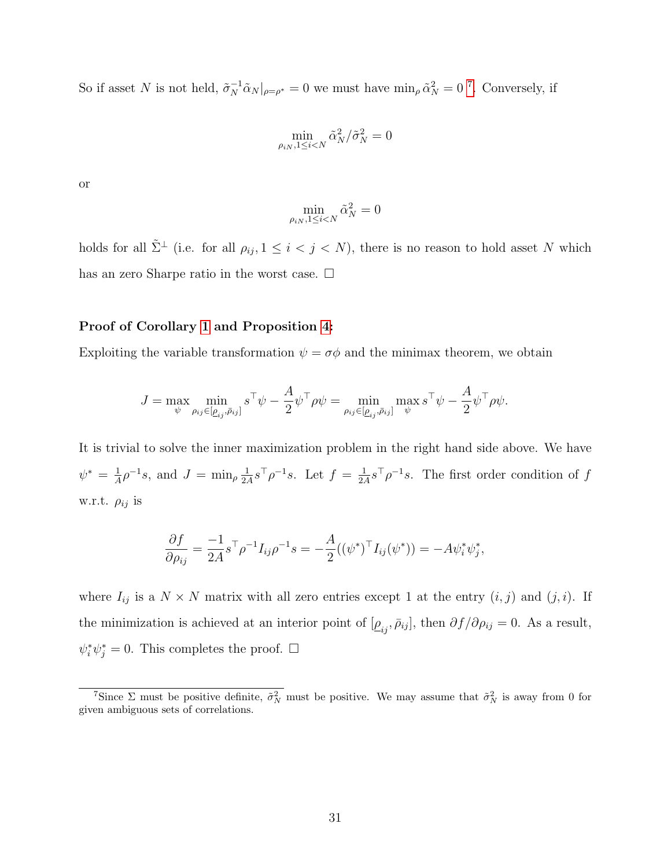So if asset N is not held,  $\tilde{\sigma}_N^{-1} \tilde{\alpha}_N|_{\rho=\rho^*} = 0$  we must have  $\min_{\rho} \tilde{\alpha}_N^2 = 0$ <sup>[7](#page-30-0)</sup>. Conversely, if

$$
\min_{\rho_{iN}, 1 \le i < N} \tilde{\alpha}_N^2 / \tilde{\sigma}_N^2 = 0
$$

or

$$
\min_{\rho_{iN}, 1 \le i < N} \tilde{\alpha}_N^2 = 0
$$

holds for all  $\tilde{\Sigma}^{\perp}$  (i.e. for all  $\rho_{ij}, 1 \leq i < j < N$ ), there is no reason to hold asset N which has an zero Sharpe ratio in the worst case.  $\Box$ 

#### Proof of Corollary [1](#page-14-0) and Proposition [4:](#page-15-1)

Exploiting the variable transformation  $\psi = \sigma \phi$  and the minimax theorem, we obtain

$$
J = \max_{\psi} \min_{\rho_{ij} \in [\underline{\rho}_{ij},\bar{\rho}_{ij}]} s^\top \psi - \frac{A}{2} \psi^\top \rho \psi = \min_{\rho_{ij} \in [\underline{\rho}_{ij},\bar{\rho}_{ij}]} \max_{\psi} s^\top \psi - \frac{A}{2} \psi^\top \rho \psi.
$$

It is trivial to solve the inner maximization problem in the right hand side above. We have  $\psi^* = \frac{1}{4}$  $\frac{1}{A} \rho^{-1} s$ , and  $J = \min_{\rho} \frac{1}{2A}$  $\frac{1}{2A} s^{\top} \rho^{-1} s$ . Let  $f = \frac{1}{2A}$  $\frac{1}{2A} s^{\top} \rho^{-1} s$ . The first order condition of f w.r.t.  $\rho_{ij}$  is

$$
\frac{\partial f}{\partial \rho_{ij}} = \frac{-1}{2A} s^{\top} \rho^{-1} I_{ij} \rho^{-1} s = -\frac{A}{2} ((\psi^*)^{\top} I_{ij} (\psi^*)) = -A \psi_i^* \psi_j^*,
$$

where  $I_{ij}$  is a  $N \times N$  matrix with all zero entries except 1 at the entry  $(i, j)$  and  $(j, i)$ . If the minimization is achieved at an interior point of  $[\underline{\rho}_{ij}, \bar{\rho}_{ij}]$ , then  $\partial f/\partial \rho_{ij} = 0$ . As a result,  $\psi_i^* \psi_j^* = 0$ . This completes the proof.  $\Box$ 

<span id="page-30-0"></span><sup>&</sup>lt;sup>7</sup>Since  $\Sigma$  must be positive definite,  $\tilde{\sigma}_N^2$  must be positive. We may assume that  $\tilde{\sigma}_N^2$  is away from 0 for given ambiguous sets of correlations.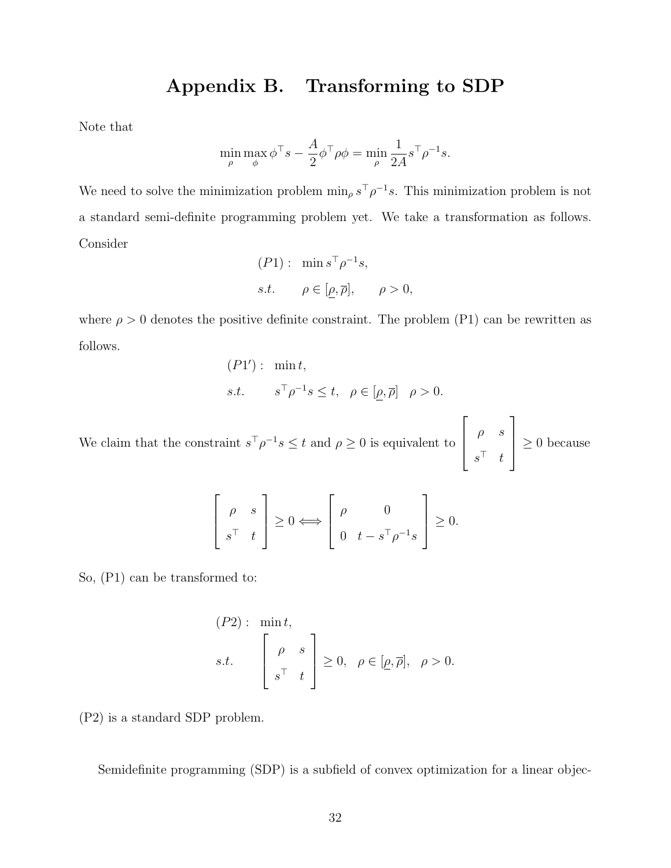## Appendix B. Transforming to SDP

Note that

$$
\min_{\rho} \max_{\phi} \phi^{\top} s - \frac{A}{2} \phi^{\top} \rho \phi = \min_{\rho} \frac{1}{2A} s^{\top} \rho^{-1} s.
$$

We need to solve the minimization problem  $\min_{\rho} s^{\top} \rho^{-1} s$ . This minimization problem is not a standard semi-definite programming problem yet. We take a transformation as follows. Consider

$$
(P1): \min s^{\top} \rho^{-1} s,
$$
  
s.t.  $\rho \in [\rho, \overline{\rho}], \quad \rho > 0,$ 

where  $\rho > 0$  denotes the positive definite constraint. The problem (P1) can be rewritten as follows.

$$
(P1'): \min t,
$$
  
s.t. 
$$
s^{\top} \rho^{-1} s \leq t, \ \rho \in [\underline{\rho}, \overline{\rho}] \ \rho > 0.
$$

We claim that the constraint  $s^{\top} \rho^{-1} s \leq t$  and  $\rho \geq 0$  is equivalent to  $\sqrt{ }$  $\overline{\phantom{a}}$  $\rho$  s  $s^{\top}$  t 1  $\geq 0$  because

$$
\begin{bmatrix} \rho & s \\ s^{\top} & t \end{bmatrix} \geq 0 \Longleftrightarrow \begin{bmatrix} \rho & 0 \\ 0 & t - s^{\top} \rho^{-1} s \end{bmatrix} \geq 0.
$$

So, (P1) can be transformed to:

$$
(P2): \min t,
$$
  
s.t. 
$$
\begin{bmatrix} \rho & s \\ s^{\top} & t \end{bmatrix} \geq 0, \ \rho \in [\underline{\rho}, \overline{\rho}], \ \rho > 0.
$$

(P2) is a standard SDP problem.

Semidefinite programming (SDP) is a subfield of convex optimization for a linear objec-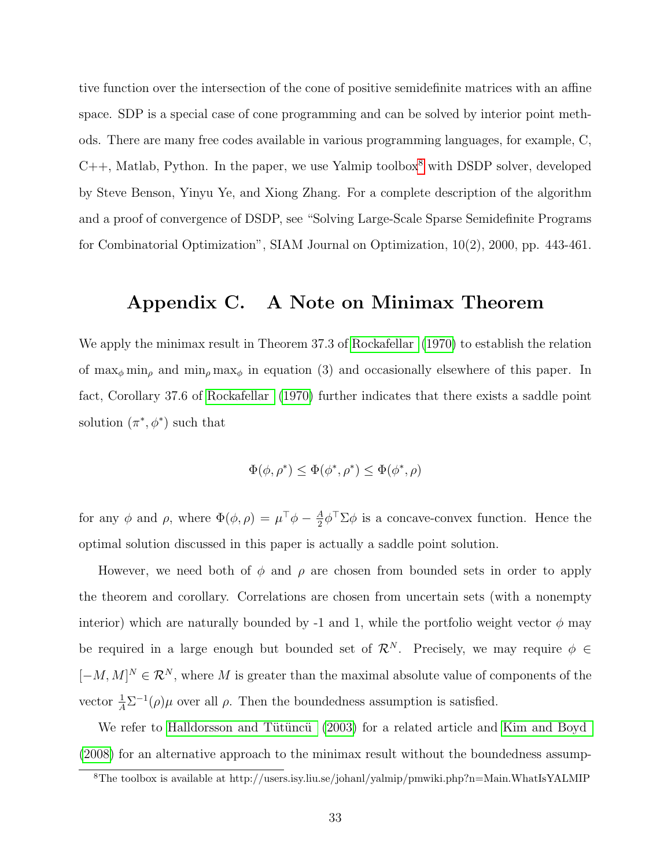tive function over the intersection of the cone of positive semidefinite matrices with an affine space. SDP is a special case of cone programming and can be solved by interior point methods. There are many free codes available in various programming languages, for example, C,  $C++$ , Matlab, Python. In the paper, we use Yalmip toolbox<sup>[8](#page-32-0)</sup> with DSDP solver, developed by Steve Benson, Yinyu Ye, and Xiong Zhang. For a complete description of the algorithm and a proof of convergence of DSDP, see "Solving Large-Scale Sparse Semidefinite Programs for Combinatorial Optimization", SIAM Journal on Optimization, 10(2), 2000, pp. 443-461.

## Appendix C. A Note on Minimax Theorem

We apply the minimax result in Theorem 37.3 of [Rockafellar](#page-36-5) [\(1970\)](#page-36-5) to establish the relation of  $\max_{\phi} \min_{\rho}$  and  $\min_{\rho} \max_{\phi}$  in equation (3) and occasionally elsewhere of this paper. In fact, Corollary 37.6 of [Rockafellar](#page-36-5) [\(1970\)](#page-36-5) further indicates that there exists a saddle point solution  $(\pi^*, \phi^*)$  such that

$$
\Phi(\phi, \rho^*) \le \Phi(\phi^*, \rho^*) \le \Phi(\phi^*, \rho)
$$

for any  $\phi$  and  $\rho$ , where  $\Phi(\phi, \rho) = \mu^{\top} \phi - \frac{A}{2}$  $\frac{4}{2}\phi^{\top}\Sigma\phi$  is a concave-convex function. Hence the optimal solution discussed in this paper is actually a saddle point solution.

However, we need both of  $\phi$  and  $\rho$  are chosen from bounded sets in order to apply the theorem and corollary. Correlations are chosen from uncertain sets (with a nonempty interior) which are naturally bounded by -1 and 1, while the portfolio weight vector  $\phi$  may be required in a large enough but bounded set of  $\mathcal{R}^N$ . Precisely, we may require  $\phi \in$  $[-M, M]^N \in \mathcal{R}^N$ , where M is greater than the maximal absolute value of components of the vector  $\frac{1}{A}\Sigma^{-1}(\rho)\mu$  over all  $\rho$ . Then the boundedness assumption is satisfied.

We refer to Halldorsson and Tütüncü [\(2003\)](#page-35-10) for a related article and [Kim and Boyd](#page-35-11) [\(2008\)](#page-35-11) for an alternative approach to the minimax result without the boundedness assump-

<span id="page-32-0"></span><sup>8</sup>The toolbox is available at http://users.isy.liu.se/johanl/yalmip/pmwiki.php?n=Main.WhatIsYALMIP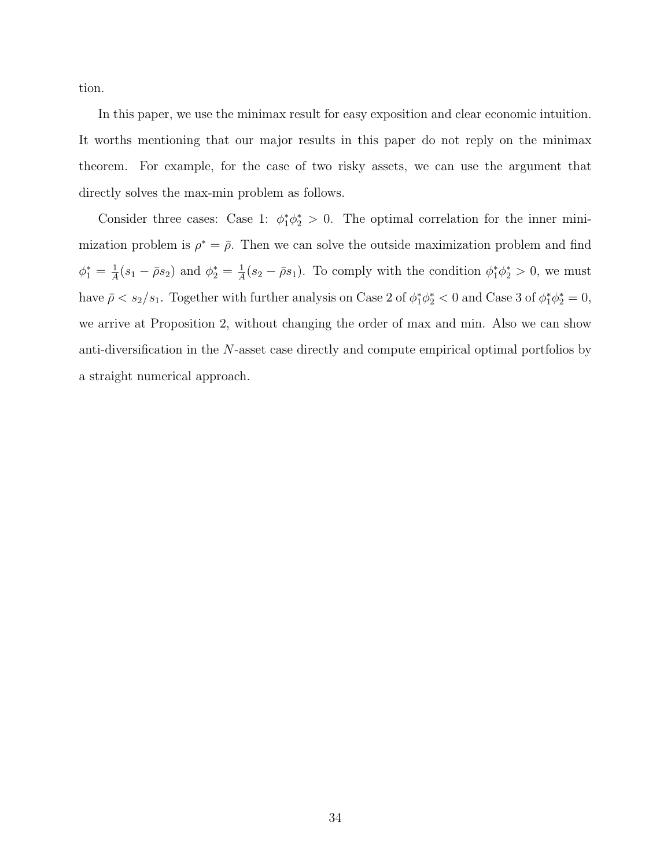tion.

In this paper, we use the minimax result for easy exposition and clear economic intuition. It worths mentioning that our major results in this paper do not reply on the minimax theorem. For example, for the case of two risky assets, we can use the argument that directly solves the max-min problem as follows.

Consider three cases: Case 1:  $\phi_1^* \phi_2^* > 0$ . The optimal correlation for the inner minimization problem is  $\rho^* = \overline{\rho}$ . Then we can solve the outside maximization problem and find  $\phi_1^* = \frac{1}{A}$  $\frac{1}{A}(s_1 - \bar{\rho}s_2)$  and  $\phi_2^* = \frac{1}{A}$  $\frac{1}{A}(s_2 - \bar{\rho}s_1)$ . To comply with the condition  $\phi_1^* \phi_2^* > 0$ , we must have  $\bar{\rho} < s_2/s_1$ . Together with further analysis on Case 2 of  $\phi_1^*\phi_2^* < 0$  and Case 3 of  $\phi_1^*\phi_2^* = 0$ , we arrive at Proposition 2, without changing the order of max and min. Also we can show anti-diversification in the N-asset case directly and compute empirical optimal portfolios by a straight numerical approach.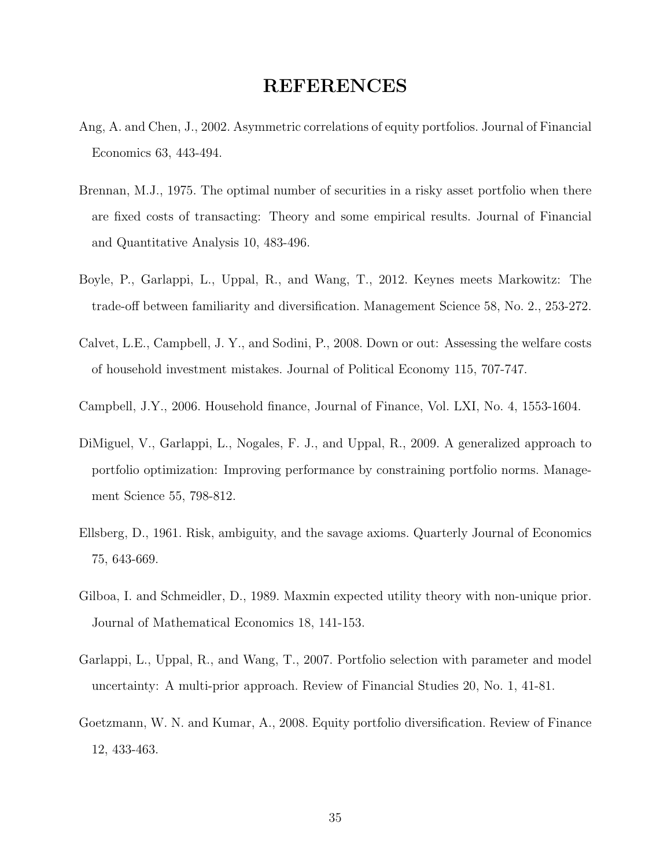#### REFERENCES

- Ang, A. and Chen, J., 2002. Asymmetric correlations of equity portfolios. Journal of Financial Economics 63, 443-494.
- <span id="page-34-7"></span>Brennan, M.J., 1975. The optimal number of securities in a risky asset portfolio when there are fixed costs of transacting: Theory and some empirical results. Journal of Financial and Quantitative Analysis 10, 483-496.
- <span id="page-34-0"></span>Boyle, P., Garlappi, L., Uppal, R., and Wang, T., 2012. Keynes meets Markowitz: The trade-off between familiarity and diversification. Management Science 58, No. 2., 253-272.
- <span id="page-34-6"></span>Calvet, L.E., Campbell, J. Y., and Sodini, P., 2008. Down or out: Assessing the welfare costs of household investment mistakes. Journal of Political Economy 115, 707-747.
- <span id="page-34-4"></span>Campbell, J.Y., 2006. Household finance, Journal of Finance, Vol. LXI, No. 4, 1553-1604.
- <span id="page-34-8"></span>DiMiguel, V., Garlappi, L., Nogales, F. J., and Uppal, R., 2009. A generalized approach to portfolio optimization: Improving performance by constraining portfolio norms. Management Science 55, 798-812.
- <span id="page-34-1"></span>Ellsberg, D., 1961. Risk, ambiguity, and the savage axioms. Quarterly Journal of Economics 75, 643-669.
- <span id="page-34-2"></span>Gilboa, I. and Schmeidler, D., 1989. Maxmin expected utility theory with non-unique prior. Journal of Mathematical Economics 18, 141-153.
- <span id="page-34-3"></span>Garlappi, L., Uppal, R., and Wang, T., 2007. Portfolio selection with parameter and model uncertainty: A multi-prior approach. Review of Financial Studies 20, No. 1, 41-81.
- <span id="page-34-5"></span>Goetzmann, W. N. and Kumar, A., 2008. Equity portfolio diversification. Review of Finance 12, 433-463.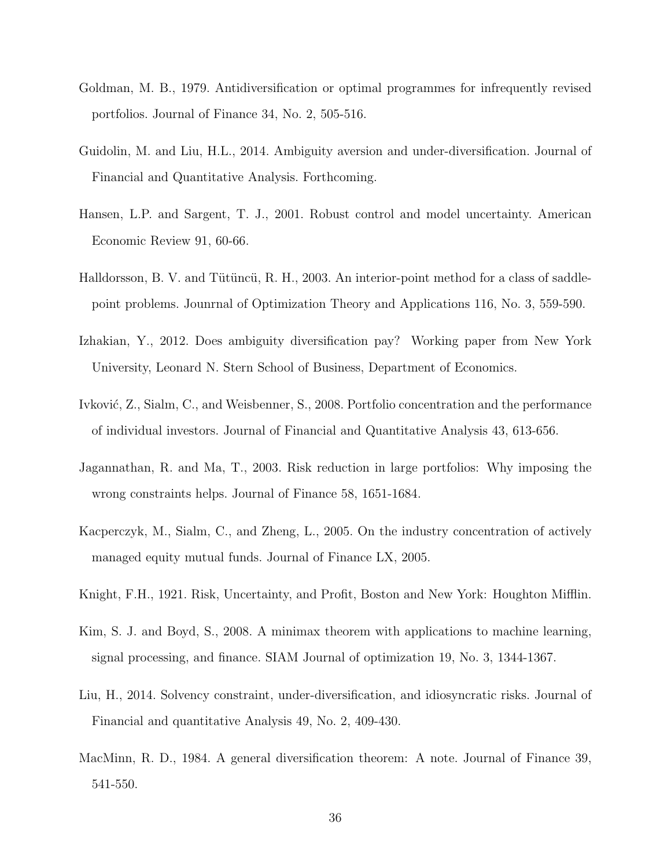- <span id="page-35-1"></span>Goldman, M. B., 1979. Antidiversification or optimal programmes for infrequently revised portfolios. Journal of Finance 34, No. 2, 505-516.
- <span id="page-35-3"></span>Guidolin, M. and Liu, H.L., 2014. Ambiguity aversion and under-diversification. Journal of Financial and Quantitative Analysis. Forthcoming.
- <span id="page-35-6"></span>Hansen, L.P. and Sargent, T. J., 2001. Robust control and model uncertainty. American Economic Review 91, 60-66.
- <span id="page-35-10"></span>Halldorsson, B. V. and Tütüncü, R. H., 2003. An interior-point method for a class of saddlepoint problems. Jounrnal of Optimization Theory and Applications 116, No. 3, 559-590.
- <span id="page-35-4"></span>Izhakian, Y., 2012. Does ambiguity diversification pay? Working paper from New York University, Leonard N. Stern School of Business, Department of Economics.
- <span id="page-35-7"></span>Ivković, Z., Sialm, C., and Weisbenner, S., 2008. Portfolio concentration and the performance of individual investors. Journal of Financial and Quantitative Analysis 43, 613-656.
- <span id="page-35-0"></span>Jagannathan, R. and Ma, T., 2003. Risk reduction in large portfolios: Why imposing the wrong constraints helps. Journal of Finance 58, 1651-1684.
- <span id="page-35-9"></span>Kacperczyk, M., Sialm, C., and Zheng, L., 2005. On the industry concentration of actively managed equity mutual funds. Journal of Finance LX, 2005.
- <span id="page-35-5"></span>Knight, F.H., 1921. Risk, Uncertainty, and Profit, Boston and New York: Houghton Mifflin.
- <span id="page-35-11"></span>Kim, S. J. and Boyd, S., 2008. A minimax theorem with applications to machine learning, signal processing, and finance. SIAM Journal of optimization 19, No. 3, 1344-1367.
- <span id="page-35-8"></span>Liu, H., 2014. Solvency constraint, under-diversification, and idiosyncratic risks. Journal of Financial and quantitative Analysis 49, No. 2, 409-430.
- <span id="page-35-2"></span>MacMinn, R. D., 1984. A general diversification theorem: A note. Journal of Finance 39, 541-550.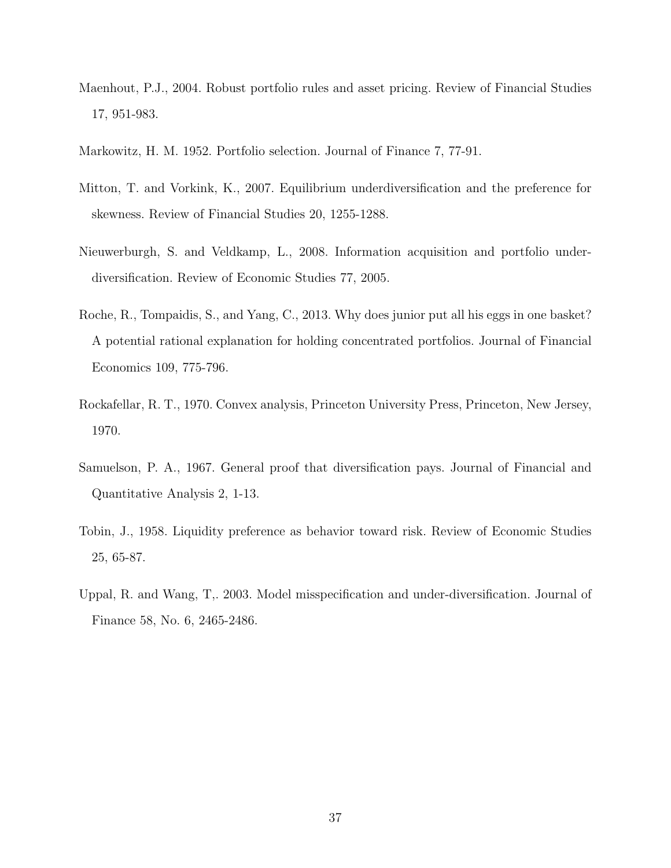- <span id="page-36-4"></span>Maenhout, P.J., 2004. Robust portfolio rules and asset pricing. Review of Financial Studies 17, 951-983.
- <span id="page-36-0"></span>Markowitz, H. M. 1952. Portfolio selection. Journal of Finance 7, 77-91.
- <span id="page-36-6"></span>Mitton, T. and Vorkink, K., 2007. Equilibrium underdiversification and the preference for skewness. Review of Financial Studies 20, 1255-1288.
- <span id="page-36-8"></span>Nieuwerburgh, S. and Veldkamp, L., 2008. Information acquisition and portfolio underdiversification. Review of Economic Studies 77, 2005.
- <span id="page-36-7"></span>Roche, R., Tompaidis, S., and Yang, C., 2013. Why does junior put all his eggs in one basket? A potential rational explanation for holding concentrated portfolios. Journal of Financial Economics 109, 775-796.
- <span id="page-36-5"></span>Rockafellar, R. T., 1970. Convex analysis, Princeton University Press, Princeton, New Jersey, 1970.
- <span id="page-36-2"></span>Samuelson, P. A., 1967. General proof that diversification pays. Journal of Financial and Quantitative Analysis 2, 1-13.
- <span id="page-36-1"></span>Tobin, J., 1958. Liquidity preference as behavior toward risk. Review of Economic Studies 25, 65-87.
- <span id="page-36-3"></span>Uppal, R. and Wang, T,. 2003. Model misspecification and under-diversification. Journal of Finance 58, No. 6, 2465-2486.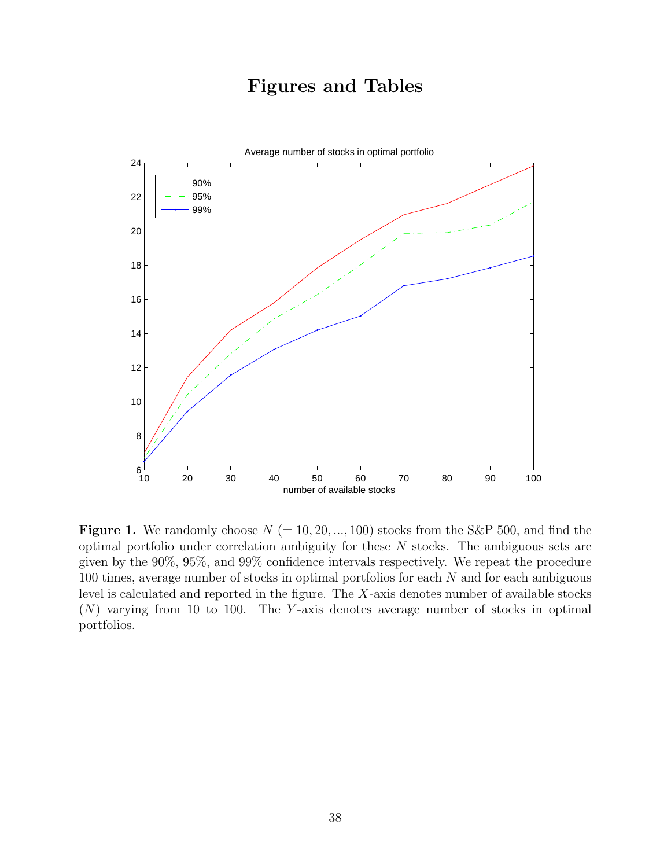# Figures and Tables



**Figure 1.** We randomly choose  $N (= 10, 20, ..., 100)$  stocks from the S&P 500, and find the optimal portfolio under correlation ambiguity for these N stocks. The ambiguous sets are given by the 90%, 95%, and 99% confidence intervals respectively. We repeat the procedure  $100$  times, average number of stocks in optimal portfolios for each  $N$  and for each ambiguous level is calculated and reported in the figure. The X-axis denotes number of available stocks  $(N)$  varying from 10 to 100. The Y-axis denotes average number of stocks in optimal portfolios.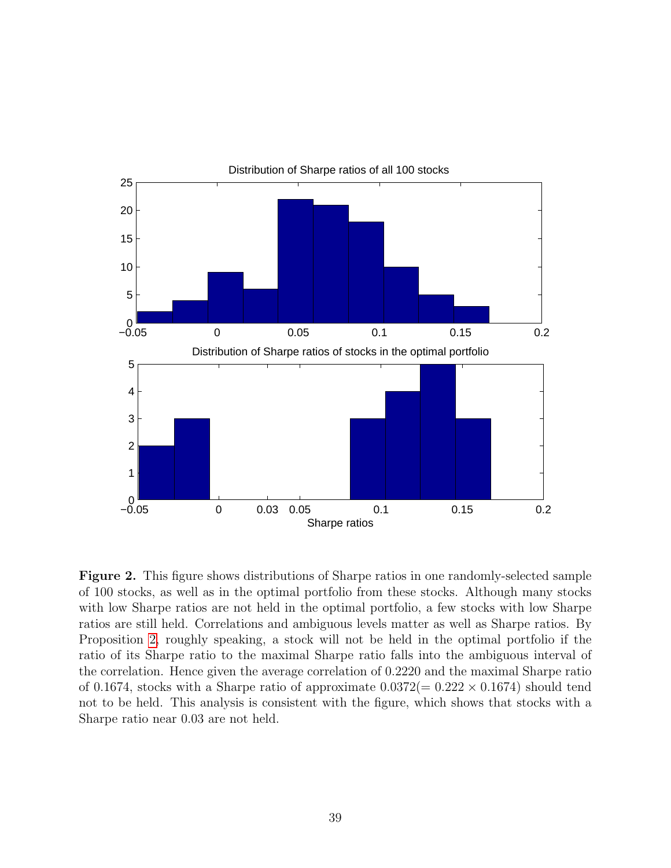

Figure 2. This figure shows distributions of Sharpe ratios in one randomly-selected sample of 100 stocks, as well as in the optimal portfolio from these stocks. Although many stocks with low Sharpe ratios are not held in the optimal portfolio, a few stocks with low Sharpe ratios are still held. Correlations and ambiguous levels matter as well as Sharpe ratios. By Proposition [2,](#page-11-0) roughly speaking, a stock will not be held in the optimal portfolio if the ratio of its Sharpe ratio to the maximal Sharpe ratio falls into the ambiguous interval of the correlation. Hence given the average correlation of 0.2220 and the maximal Sharpe ratio of 0.1674, stocks with a Sharpe ratio of approximate  $0.0372(= 0.222 \times 0.1674)$  should tend not to be held. This analysis is consistent with the figure, which shows that stocks with a Sharpe ratio near 0.03 are not held.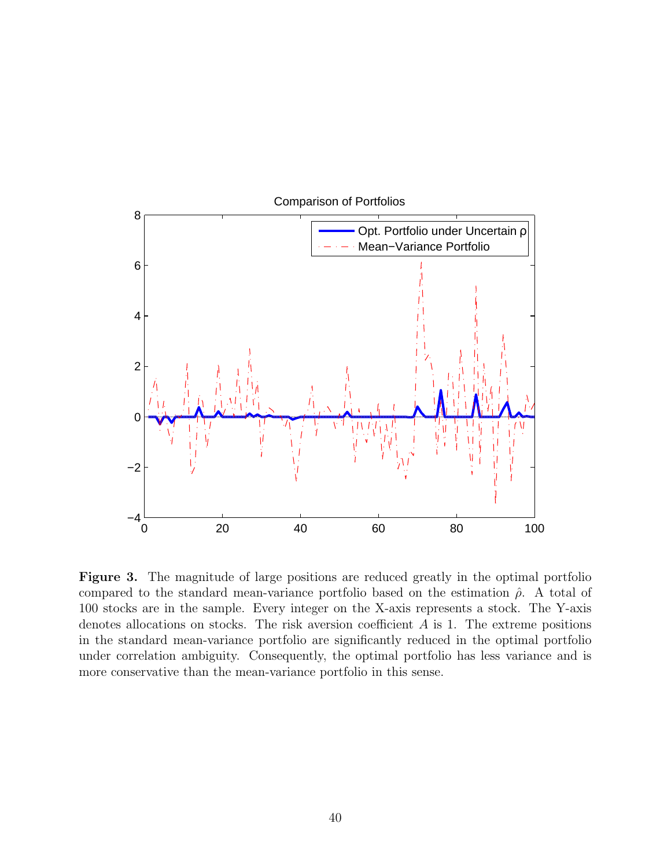

Figure 3. The magnitude of large positions are reduced greatly in the optimal portfolio compared to the standard mean-variance portfolio based on the estimation  $\hat{\rho}$ . A total of 100 stocks are in the sample. Every integer on the X-axis represents a stock. The Y-axis denotes allocations on stocks. The risk aversion coefficient  $A$  is 1. The extreme positions in the standard mean-variance portfolio are significantly reduced in the optimal portfolio under correlation ambiguity. Consequently, the optimal portfolio has less variance and is more conservative than the mean-variance portfolio in this sense.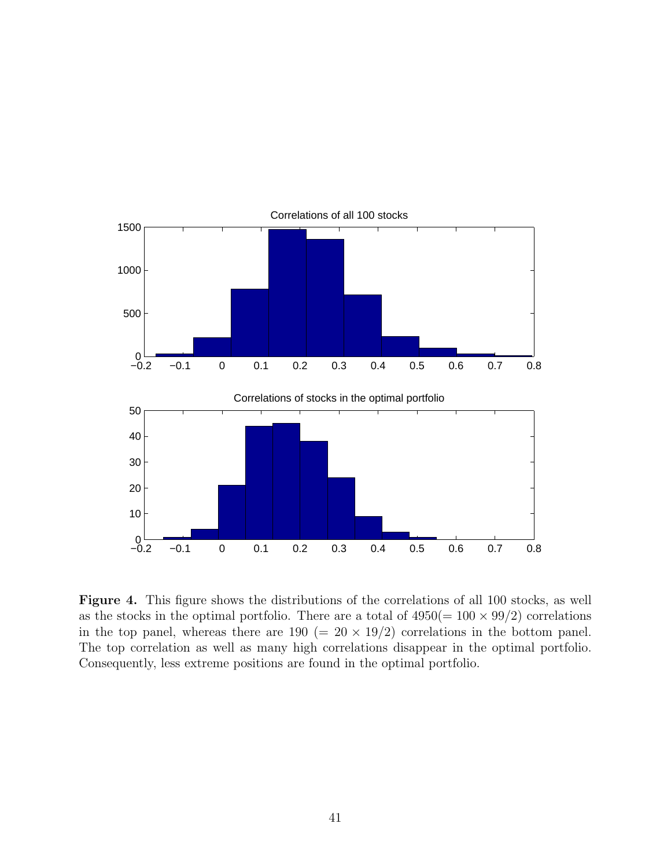

Figure 4. This figure shows the distributions of the correlations of all 100 stocks, as well as the stocks in the optimal portfolio. There are a total of  $4950(= 100 \times 99/2)$  correlations in the top panel, whereas there are  $190 (= 20 \times 19/2)$  correlations in the bottom panel. The top correlation as well as many high correlations disappear in the optimal portfolio. Consequently, less extreme positions are found in the optimal portfolio.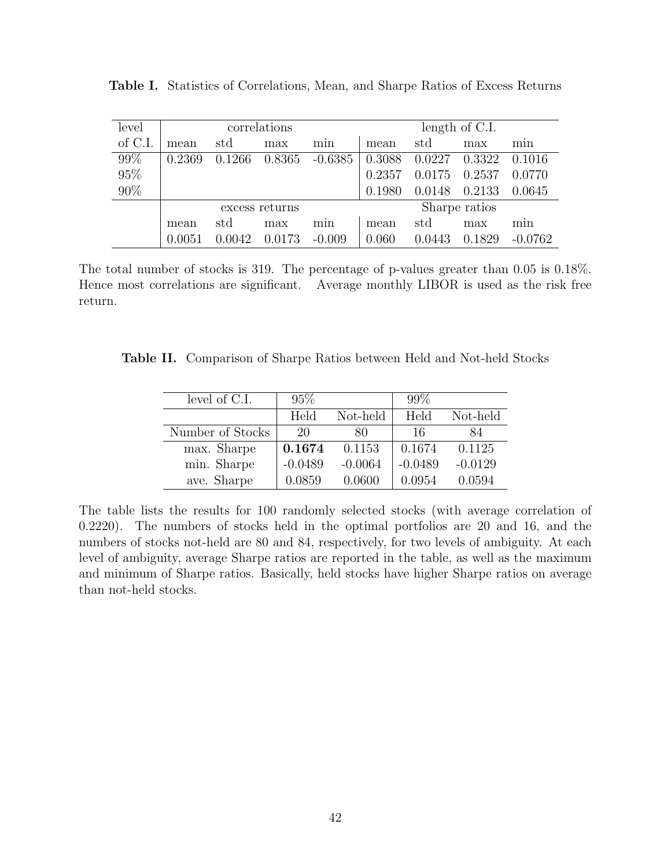| level   | correlations   |        |        |           | length of C.I. |        |        |           |  |
|---------|----------------|--------|--------|-----------|----------------|--------|--------|-----------|--|
| of C.I. | mean           | std    | max    | min       | mean           | std    | max    | mın       |  |
| 99%     | 0.2369         | 0.1266 | 0.8365 | $-0.6385$ | 0.3088         | 0.0227 | 0.3322 | 0.1016    |  |
| 95%     |                |        |        |           | 0.2357         | 0.0175 | 0.2537 | 0.0770    |  |
| 90%     |                |        |        |           | 0.1980         | 0.0148 | 0.2133 | 0.0645    |  |
|         | excess returns |        |        |           | Sharpe ratios  |        |        |           |  |
|         | mean           | std    | max    | min       | mean           | std    | max    | min       |  |
|         |                | 0.0042 | 0.0173 | $-0.009$  | 0.060          | 0.0443 | 0.1829 | $-0.0762$ |  |

Table I. Statistics of Correlations, Mean, and Sharpe Ratios of Excess Returns

The total number of stocks is 319. The percentage of p-values greater than 0.05 is 0.18%. Hence most correlations are significant. Average monthly LIBOR is used as the risk free return.

Table II. Comparison of Sharpe Ratios between Held and Not-held Stocks

| level of C.I.    | $95\%$    |           | $99\%$    |           |
|------------------|-----------|-----------|-----------|-----------|
|                  | Held      | Not-held  | Held      | Not-held  |
| Number of Stocks | 20        | 80        | 16        | 84        |
| max. Sharpe      | 0.1674    | 0.1153    | 0.1674    | 0.1125    |
| min. Sharpe      | $-0.0489$ | $-0.0064$ | $-0.0489$ | $-0.0129$ |
| ave. Sharpe      | 0.0859    | 0.0600    | 0.0954    | 0.0594    |

The table lists the results for 100 randomly selected stocks (with average correlation of 0.2220). The numbers of stocks held in the optimal portfolios are 20 and 16, and the numbers of stocks not-held are 80 and 84, respectively, for two levels of ambiguity. At each level of ambiguity, average Sharpe ratios are reported in the table, as well as the maximum and minimum of Sharpe ratios. Basically, held stocks have higher Sharpe ratios on average than not-held stocks.